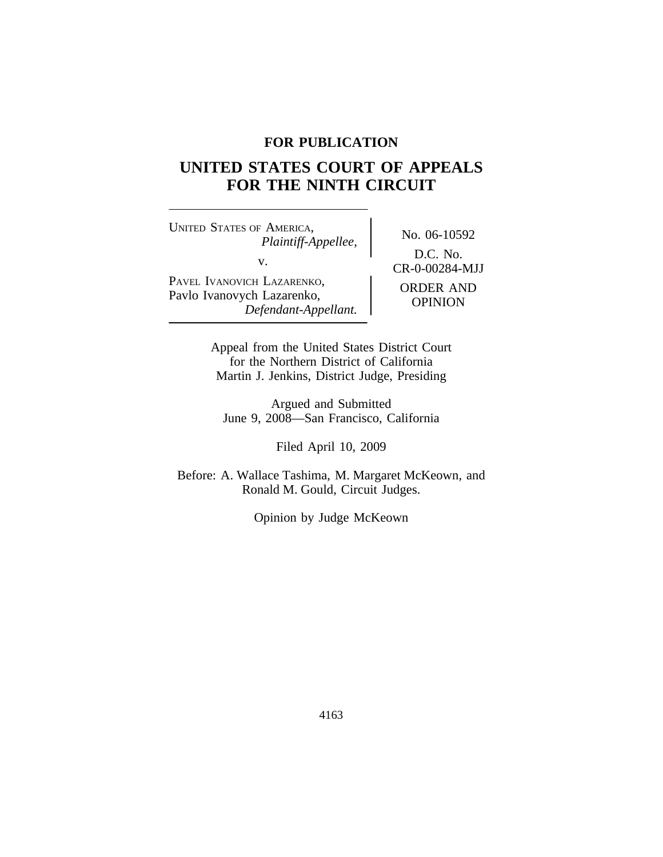# **FOR PUBLICATION**

# **UNITED STATES COURT OF APPEALS FOR THE NINTH CIRCUIT**

<sup>U</sup>NITED STATES OF AMERICA, No. 06-10592 *Plaintiff-Appellee,* v.  $C_{R-0-00284-MJJ}$ PAVEL IVANOVICH LAZARENKO, PAVEL IVANOVICH LAZARENKO,<br>Pavlo Ivanovych Lazarenko, *Defendant-Appellant.* OPINION

D.C. No.

Appeal from the United States District Court for the Northern District of California Martin J. Jenkins, District Judge, Presiding

Argued and Submitted June 9, 2008—San Francisco, California

Filed April 10, 2009

Before: A. Wallace Tashima, M. Margaret McKeown, and Ronald M. Gould, Circuit Judges.

Opinion by Judge McKeown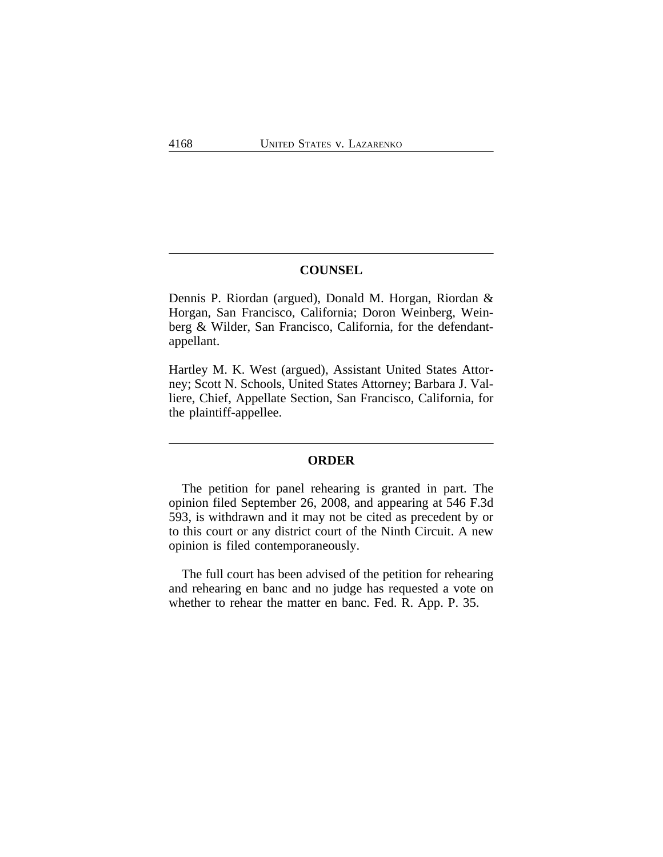# **COUNSEL**

Dennis P. Riordan (argued), Donald M. Horgan, Riordan & Horgan, San Francisco, California; Doron Weinberg, Weinberg & Wilder, San Francisco, California, for the defendantappellant.

Hartley M. K. West (argued), Assistant United States Attorney; Scott N. Schools, United States Attorney; Barbara J. Valliere, Chief, Appellate Section, San Francisco, California, for the plaintiff-appellee.

# **ORDER**

The petition for panel rehearing is granted in part. The opinion filed September 26, 2008, and appearing at 546 F.3d 593, is withdrawn and it may not be cited as precedent by or to this court or any district court of the Ninth Circuit. A new opinion is filed contemporaneously.

The full court has been advised of the petition for rehearing and rehearing en banc and no judge has requested a vote on whether to rehear the matter en banc. Fed. R. App. P. 35.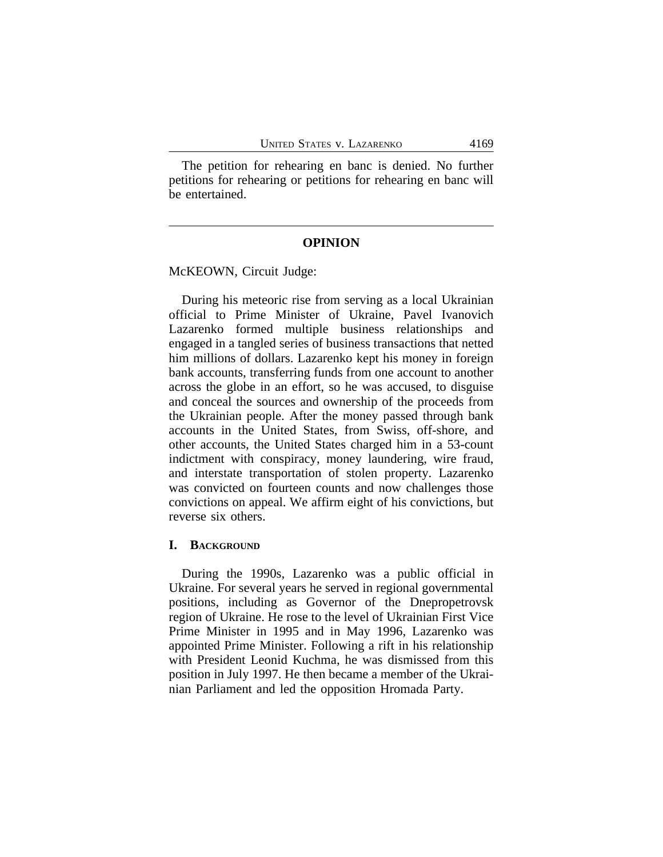The petition for rehearing en banc is denied. No further petitions for rehearing or petitions for rehearing en banc will be entertained.

# **OPINION**

McKEOWN, Circuit Judge:

During his meteoric rise from serving as a local Ukrainian official to Prime Minister of Ukraine, Pavel Ivanovich Lazarenko formed multiple business relationships and engaged in a tangled series of business transactions that netted him millions of dollars. Lazarenko kept his money in foreign bank accounts, transferring funds from one account to another across the globe in an effort, so he was accused, to disguise and conceal the sources and ownership of the proceeds from the Ukrainian people. After the money passed through bank accounts in the United States, from Swiss, off-shore, and other accounts, the United States charged him in a 53-count indictment with conspiracy, money laundering, wire fraud, and interstate transportation of stolen property. Lazarenko was convicted on fourteen counts and now challenges those convictions on appeal. We affirm eight of his convictions, but reverse six others.

#### **I. BACKGROUND**

During the 1990s, Lazarenko was a public official in Ukraine. For several years he served in regional governmental positions, including as Governor of the Dnepropetrovsk region of Ukraine. He rose to the level of Ukrainian First Vice Prime Minister in 1995 and in May 1996, Lazarenko was appointed Prime Minister. Following a rift in his relationship with President Leonid Kuchma, he was dismissed from this position in July 1997. He then became a member of the Ukrainian Parliament and led the opposition Hromada Party.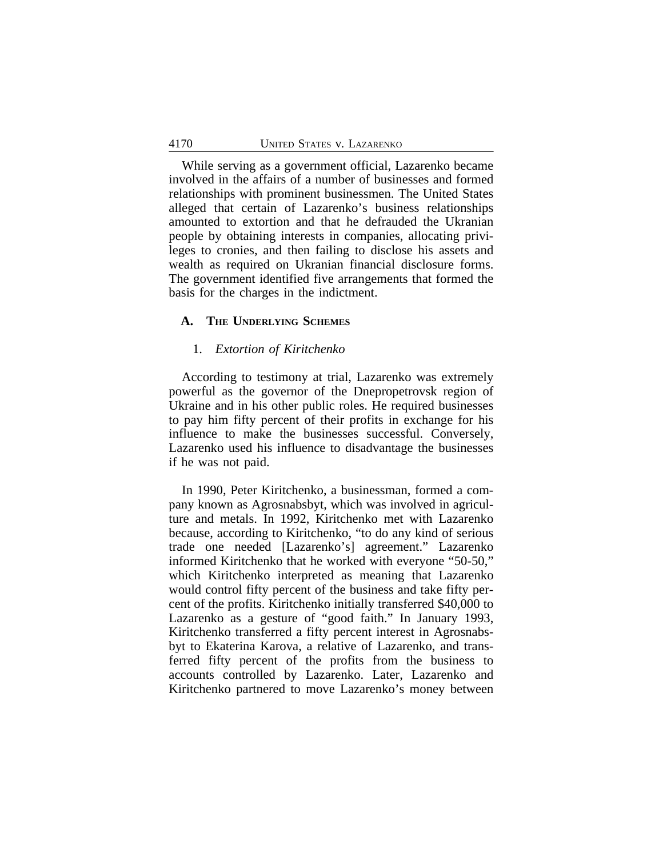While serving as a government official, Lazarenko became involved in the affairs of a number of businesses and formed relationships with prominent businessmen. The United States alleged that certain of Lazarenko's business relationships amounted to extortion and that he defrauded the Ukranian people by obtaining interests in companies, allocating privileges to cronies, and then failing to disclose his assets and wealth as required on Ukranian financial disclosure forms. The government identified five arrangements that formed the basis for the charges in the indictment.

# **A. THE UNDERLYING SCHEMES**

#### 1. *Extortion of Kiritchenko*

According to testimony at trial, Lazarenko was extremely powerful as the governor of the Dnepropetrovsk region of Ukraine and in his other public roles. He required businesses to pay him fifty percent of their profits in exchange for his influence to make the businesses successful. Conversely, Lazarenko used his influence to disadvantage the businesses if he was not paid.

In 1990, Peter Kiritchenko, a businessman, formed a company known as Agrosnabsbyt, which was involved in agriculture and metals. In 1992, Kiritchenko met with Lazarenko because, according to Kiritchenko, "to do any kind of serious trade one needed [Lazarenko's] agreement." Lazarenko informed Kiritchenko that he worked with everyone "50-50," which Kiritchenko interpreted as meaning that Lazarenko would control fifty percent of the business and take fifty percent of the profits. Kiritchenko initially transferred \$40,000 to Lazarenko as a gesture of "good faith." In January 1993, Kiritchenko transferred a fifty percent interest in Agrosnabsbyt to Ekaterina Karova, a relative of Lazarenko, and transferred fifty percent of the profits from the business to accounts controlled by Lazarenko. Later, Lazarenko and Kiritchenko partnered to move Lazarenko's money between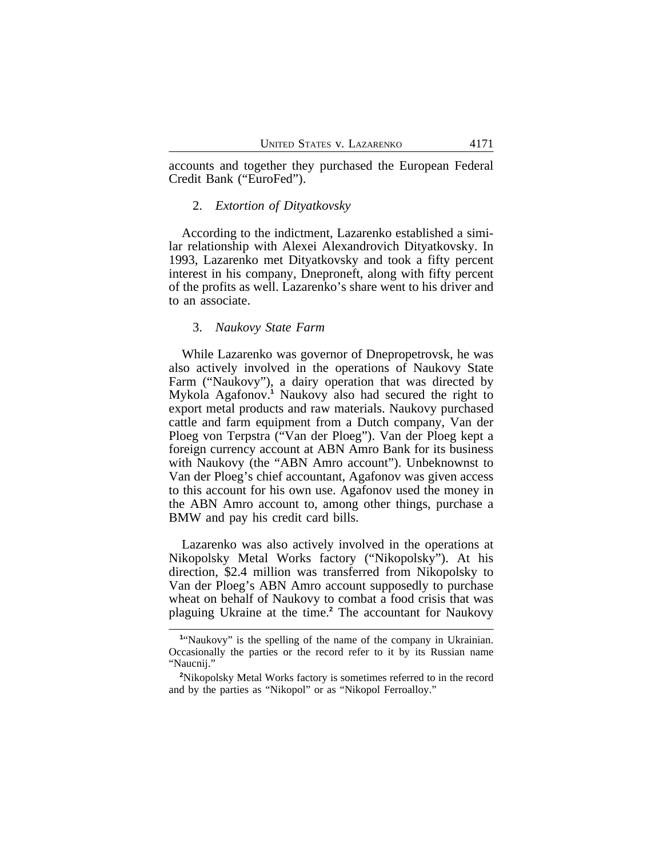accounts and together they purchased the European Federal Credit Bank ("EuroFed").

#### 2. *Extortion of Dityatkovsky*

According to the indictment, Lazarenko established a similar relationship with Alexei Alexandrovich Dityatkovsky. In 1993, Lazarenko met Dityatkovsky and took a fifty percent interest in his company, Dneproneft, along with fifty percent of the profits as well. Lazarenko's share went to his driver and to an associate.

### 3. *Naukovy State Farm*

While Lazarenko was governor of Dnepropetrovsk, he was also actively involved in the operations of Naukovy State Farm ("Naukovy"), a dairy operation that was directed by Mykola Agafonov.**<sup>1</sup>** Naukovy also had secured the right to export metal products and raw materials. Naukovy purchased cattle and farm equipment from a Dutch company, Van der Ploeg von Terpstra ("Van der Ploeg"). Van der Ploeg kept a foreign currency account at ABN Amro Bank for its business with Naukovy (the "ABN Amro account"). Unbeknownst to Van der Ploeg's chief accountant, Agafonov was given access to this account for his own use. Agafonov used the money in the ABN Amro account to, among other things, purchase a BMW and pay his credit card bills.

Lazarenko was also actively involved in the operations at Nikopolsky Metal Works factory ("Nikopolsky"). At his direction, \$2.4 million was transferred from Nikopolsky to Van der Ploeg's ABN Amro account supposedly to purchase wheat on behalf of Naukovy to combat a food crisis that was plaguing Ukraine at the time.**<sup>2</sup>** The accountant for Naukovy

<sup>&</sup>lt;sup>1</sup>"Naukovy" is the spelling of the name of the company in Ukrainian. Occasionally the parties or the record refer to it by its Russian name "Naucnij."

**<sup>2</sup>**Nikopolsky Metal Works factory is sometimes referred to in the record and by the parties as "Nikopol" or as "Nikopol Ferroalloy."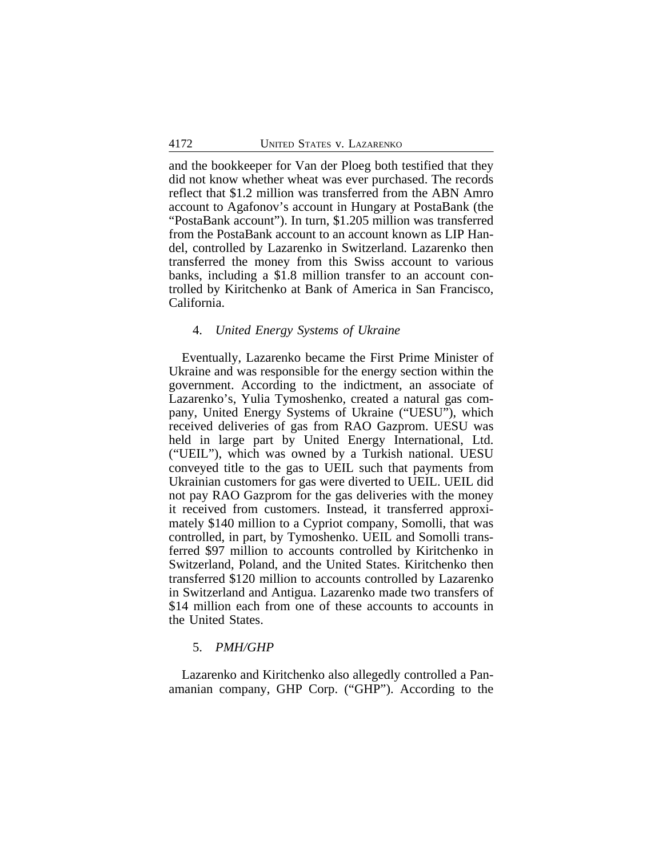and the bookkeeper for Van der Ploeg both testified that they did not know whether wheat was ever purchased. The records reflect that \$1.2 million was transferred from the ABN Amro account to Agafonov's account in Hungary at PostaBank (the "PostaBank account"). In turn, \$1.205 million was transferred from the PostaBank account to an account known as LIP Handel, controlled by Lazarenko in Switzerland. Lazarenko then transferred the money from this Swiss account to various banks, including a \$1.8 million transfer to an account controlled by Kiritchenko at Bank of America in San Francisco, California.

# 4. *United Energy Systems of Ukraine*

Eventually, Lazarenko became the First Prime Minister of Ukraine and was responsible for the energy section within the government. According to the indictment, an associate of Lazarenko's, Yulia Tymoshenko, created a natural gas company, United Energy Systems of Ukraine ("UESU"), which received deliveries of gas from RAO Gazprom. UESU was held in large part by United Energy International, Ltd. ("UEIL"), which was owned by a Turkish national. UESU conveyed title to the gas to UEIL such that payments from Ukrainian customers for gas were diverted to UEIL. UEIL did not pay RAO Gazprom for the gas deliveries with the money it received from customers. Instead, it transferred approximately \$140 million to a Cypriot company, Somolli, that was controlled, in part, by Tymoshenko. UEIL and Somolli transferred \$97 million to accounts controlled by Kiritchenko in Switzerland, Poland, and the United States. Kiritchenko then transferred \$120 million to accounts controlled by Lazarenko in Switzerland and Antigua. Lazarenko made two transfers of \$14 million each from one of these accounts to accounts in the United States.

# 5. *PMH/GHP*

Lazarenko and Kiritchenko also allegedly controlled a Panamanian company, GHP Corp. ("GHP"). According to the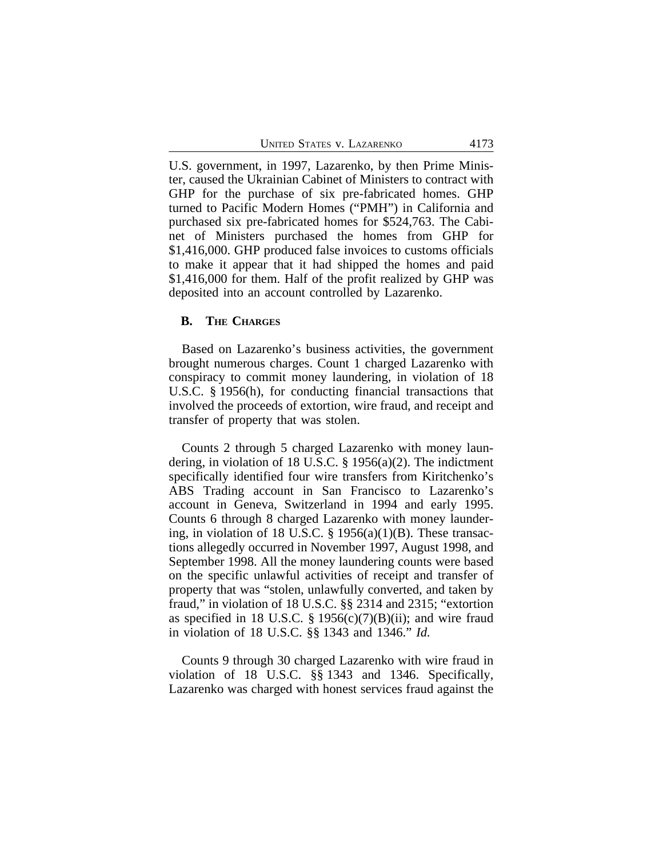|  |                            | 4173 |
|--|----------------------------|------|
|  | UNITED STATES V. LAZARENKO |      |

U.S. government, in 1997, Lazarenko, by then Prime Minister, caused the Ukrainian Cabinet of Ministers to contract with GHP for the purchase of six pre-fabricated homes. GHP turned to Pacific Modern Homes ("PMH") in California and purchased six pre-fabricated homes for \$524,763. The Cabinet of Ministers purchased the homes from GHP for \$1,416,000. GHP produced false invoices to customs officials to make it appear that it had shipped the homes and paid \$1,416,000 for them. Half of the profit realized by GHP was deposited into an account controlled by Lazarenko.

## **B. THE CHARGES**

Based on Lazarenko's business activities, the government brought numerous charges. Count 1 charged Lazarenko with conspiracy to commit money laundering, in violation of 18 U.S.C. § 1956(h), for conducting financial transactions that involved the proceeds of extortion, wire fraud, and receipt and transfer of property that was stolen.

Counts 2 through 5 charged Lazarenko with money laundering, in violation of 18 U.S.C. § 1956(a)(2). The indictment specifically identified four wire transfers from Kiritchenko's ABS Trading account in San Francisco to Lazarenko's account in Geneva, Switzerland in 1994 and early 1995. Counts 6 through 8 charged Lazarenko with money laundering, in violation of 18 U.S.C.  $\S$  1956(a)(1)(B). These transactions allegedly occurred in November 1997, August 1998, and September 1998. All the money laundering counts were based on the specific unlawful activities of receipt and transfer of property that was "stolen, unlawfully converted, and taken by fraud," in violation of 18 U.S.C. §§ 2314 and 2315; "extortion as specified in 18 U.S.C. § 1956(c)(7)(B)(ii); and wire fraud in violation of 18 U.S.C. §§ 1343 and 1346." *Id.*

Counts 9 through 30 charged Lazarenko with wire fraud in violation of 18 U.S.C. §§ 1343 and 1346. Specifically, Lazarenko was charged with honest services fraud against the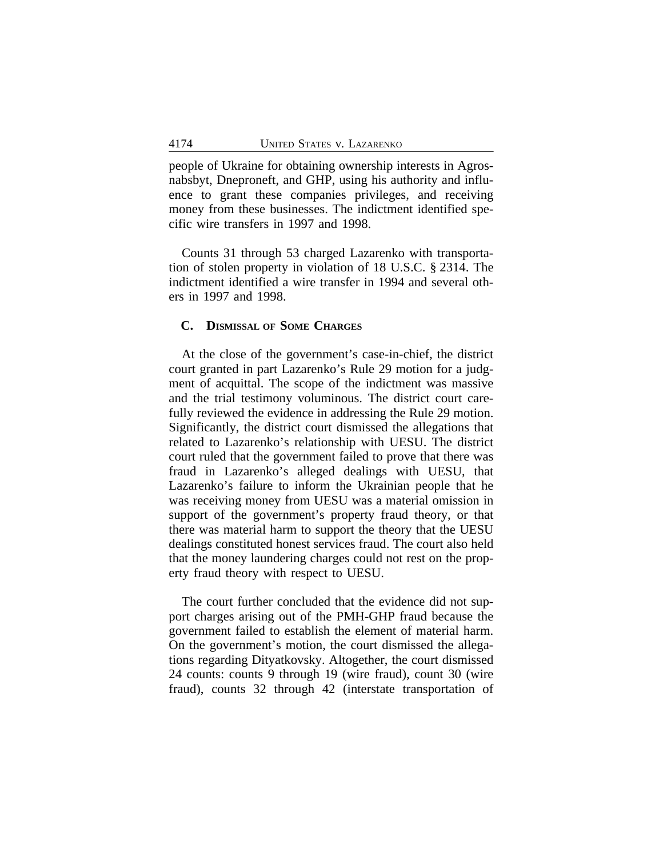people of Ukraine for obtaining ownership interests in Agrosnabsbyt, Dneproneft, and GHP, using his authority and influence to grant these companies privileges, and receiving money from these businesses. The indictment identified specific wire transfers in 1997 and 1998.

Counts 31 through 53 charged Lazarenko with transportation of stolen property in violation of 18 U.S.C. § 2314. The indictment identified a wire transfer in 1994 and several others in 1997 and 1998.

#### **C. DISMISSAL OF SOME CHARGES**

At the close of the government's case-in-chief, the district court granted in part Lazarenko's Rule 29 motion for a judgment of acquittal. The scope of the indictment was massive and the trial testimony voluminous. The district court carefully reviewed the evidence in addressing the Rule 29 motion. Significantly, the district court dismissed the allegations that related to Lazarenko's relationship with UESU. The district court ruled that the government failed to prove that there was fraud in Lazarenko's alleged dealings with UESU, that Lazarenko's failure to inform the Ukrainian people that he was receiving money from UESU was a material omission in support of the government's property fraud theory, or that there was material harm to support the theory that the UESU dealings constituted honest services fraud. The court also held that the money laundering charges could not rest on the property fraud theory with respect to UESU.

The court further concluded that the evidence did not support charges arising out of the PMH-GHP fraud because the government failed to establish the element of material harm. On the government's motion, the court dismissed the allegations regarding Dityatkovsky. Altogether, the court dismissed 24 counts: counts 9 through 19 (wire fraud), count 30 (wire fraud), counts 32 through 42 (interstate transportation of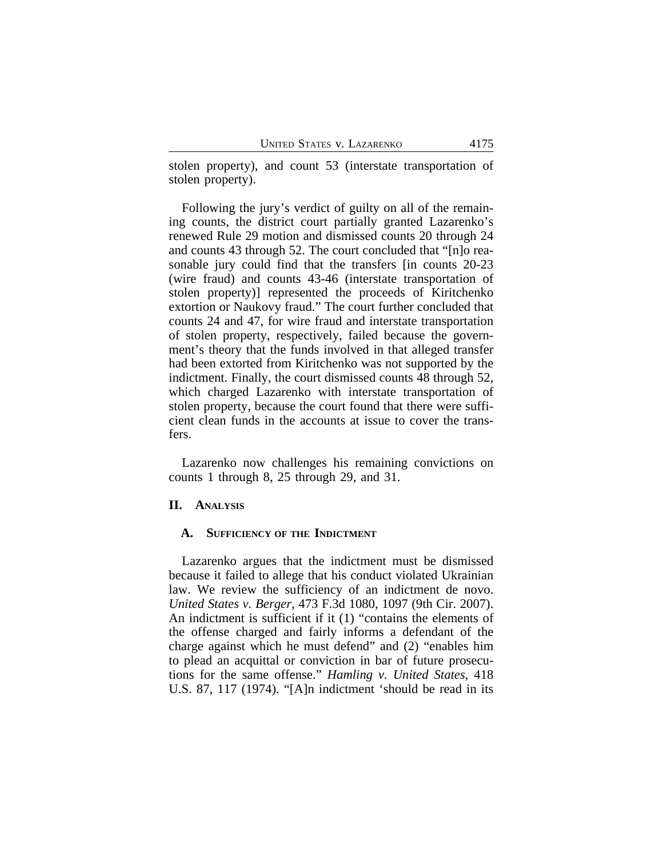stolen property), and count 53 (interstate transportation of stolen property).

Following the jury's verdict of guilty on all of the remaining counts, the district court partially granted Lazarenko's renewed Rule 29 motion and dismissed counts 20 through 24 and counts 43 through 52. The court concluded that "[n]o reasonable jury could find that the transfers [in counts 20-23 (wire fraud) and counts 43-46 (interstate transportation of stolen property)] represented the proceeds of Kiritchenko extortion or Naukovy fraud." The court further concluded that counts 24 and 47, for wire fraud and interstate transportation of stolen property, respectively, failed because the government's theory that the funds involved in that alleged transfer had been extorted from Kiritchenko was not supported by the indictment. Finally, the court dismissed counts 48 through 52, which charged Lazarenko with interstate transportation of stolen property, because the court found that there were sufficient clean funds in the accounts at issue to cover the transfers.

Lazarenko now challenges his remaining convictions on counts 1 through 8, 25 through 29, and 31.

# **II. ANALYSIS**

#### **A. SUFFICIENCY OF THE INDICTMENT**

Lazarenko argues that the indictment must be dismissed because it failed to allege that his conduct violated Ukrainian law. We review the sufficiency of an indictment de novo. *United States v. Berger*, 473 F.3d 1080, 1097 (9th Cir. 2007). An indictment is sufficient if it (1) "contains the elements of the offense charged and fairly informs a defendant of the charge against which he must defend" and (2) "enables him to plead an acquittal or conviction in bar of future prosecutions for the same offense." *Hamling v. United States*, 418 U.S. 87, 117 (1974). "[A]n indictment 'should be read in its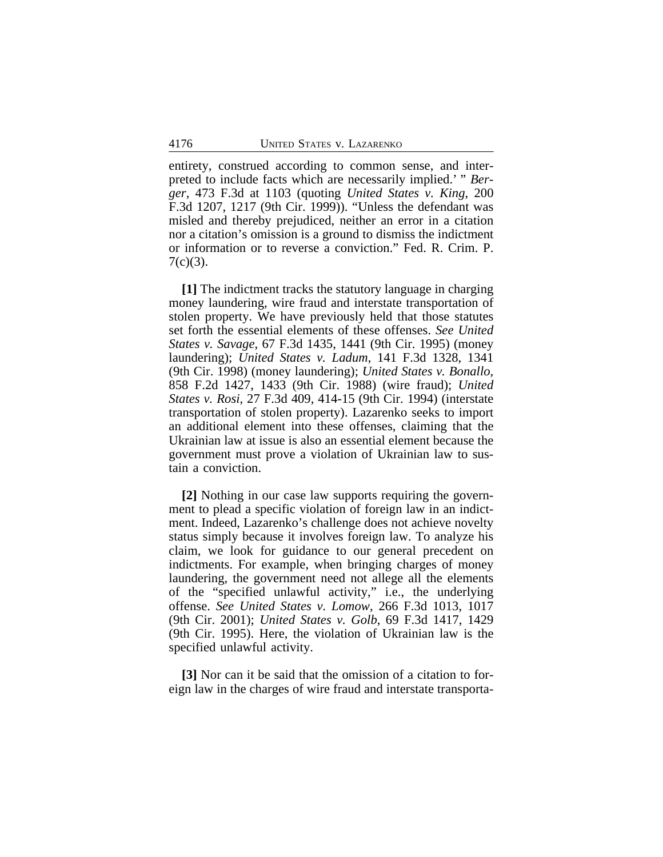entirety, construed according to common sense, and interpreted to include facts which are necessarily implied.' " *Berger*, 473 F.3d at 1103 (quoting *United States v. King*, 200 F.3d 1207, 1217 (9th Cir. 1999)). "Unless the defendant was misled and thereby prejudiced, neither an error in a citation nor a citation's omission is a ground to dismiss the indictment or information or to reverse a conviction." Fed. R. Crim. P.  $7(c)(3)$ .

**[1]** The indictment tracks the statutory language in charging money laundering, wire fraud and interstate transportation of stolen property. We have previously held that those statutes set forth the essential elements of these offenses. *See United States v. Savage*, 67 F.3d 1435, 1441 (9th Cir. 1995) (money laundering); *United States v. Ladum*, 141 F.3d 1328, 1341 (9th Cir. 1998) (money laundering); *United States v. Bonallo*, 858 F.2d 1427, 1433 (9th Cir. 1988) (wire fraud); *United States v. Rosi*, 27 F.3d 409, 414-15 (9th Cir. 1994) (interstate transportation of stolen property). Lazarenko seeks to import an additional element into these offenses, claiming that the Ukrainian law at issue is also an essential element because the government must prove a violation of Ukrainian law to sustain a conviction.

**[2]** Nothing in our case law supports requiring the government to plead a specific violation of foreign law in an indictment. Indeed, Lazarenko's challenge does not achieve novelty status simply because it involves foreign law. To analyze his claim, we look for guidance to our general precedent on indictments. For example, when bringing charges of money laundering, the government need not allege all the elements of the "specified unlawful activity," i.e., the underlying offense. *See United States v. Lomow*, 266 F.3d 1013, 1017 (9th Cir. 2001); *United States v. Golb*, 69 F.3d 1417, 1429 (9th Cir. 1995). Here, the violation of Ukrainian law is the specified unlawful activity.

**[3]** Nor can it be said that the omission of a citation to foreign law in the charges of wire fraud and interstate transporta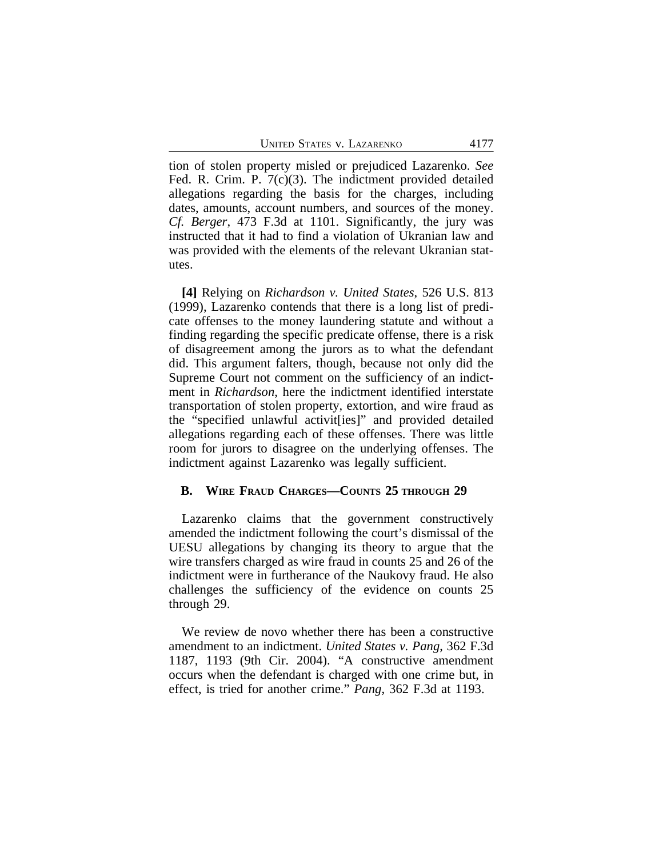tion of stolen property misled or prejudiced Lazarenko. *See* Fed. R. Crim. P. 7(c)(3). The indictment provided detailed allegations regarding the basis for the charges, including dates, amounts, account numbers, and sources of the money. *Cf. Berger*, 473 F.3d at 1101. Significantly, the jury was instructed that it had to find a violation of Ukranian law and was provided with the elements of the relevant Ukranian statutes.

**[4]** Relying on *Richardson v. United States*, 526 U.S. 813 (1999), Lazarenko contends that there is a long list of predicate offenses to the money laundering statute and without a finding regarding the specific predicate offense, there is a risk of disagreement among the jurors as to what the defendant did. This argument falters, though, because not only did the Supreme Court not comment on the sufficiency of an indictment in *Richardson*, here the indictment identified interstate transportation of stolen property, extortion, and wire fraud as the "specified unlawful activit[ies]" and provided detailed allegations regarding each of these offenses. There was little room for jurors to disagree on the underlying offenses. The indictment against Lazarenko was legally sufficient.

#### **B. WIRE FRAUD CHARGES—COUNTS 25 THROUGH 29**

Lazarenko claims that the government constructively amended the indictment following the court's dismissal of the UESU allegations by changing its theory to argue that the wire transfers charged as wire fraud in counts 25 and 26 of the indictment were in furtherance of the Naukovy fraud. He also challenges the sufficiency of the evidence on counts 25 through 29.

We review de novo whether there has been a constructive amendment to an indictment. *United States v. Pang*, 362 F.3d 1187, 1193 (9th Cir. 2004). "A constructive amendment occurs when the defendant is charged with one crime but, in effect, is tried for another crime." *Pang*, 362 F.3d at 1193.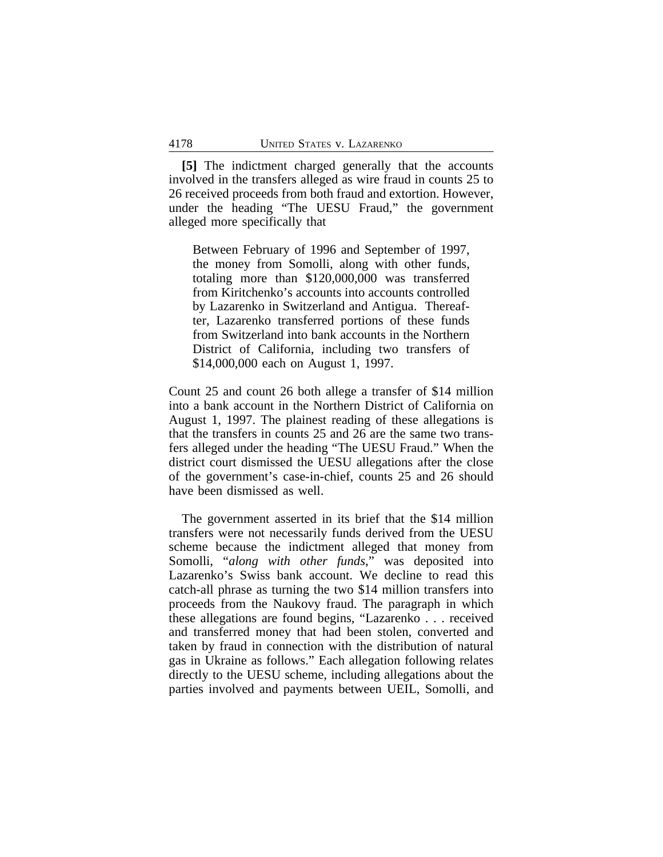**[5]** The indictment charged generally that the accounts involved in the transfers alleged as wire fraud in counts 25 to 26 received proceeds from both fraud and extortion. However, under the heading "The UESU Fraud," the government alleged more specifically that

Between February of 1996 and September of 1997, the money from Somolli, along with other funds, totaling more than \$120,000,000 was transferred from Kiritchenko's accounts into accounts controlled by Lazarenko in Switzerland and Antigua. Thereafter, Lazarenko transferred portions of these funds from Switzerland into bank accounts in the Northern District of California, including two transfers of \$14,000,000 each on August 1, 1997.

Count 25 and count 26 both allege a transfer of \$14 million into a bank account in the Northern District of California on August 1, 1997. The plainest reading of these allegations is that the transfers in counts 25 and 26 are the same two transfers alleged under the heading "The UESU Fraud." When the district court dismissed the UESU allegations after the close of the government's case-in-chief, counts 25 and 26 should have been dismissed as well.

The government asserted in its brief that the \$14 million transfers were not necessarily funds derived from the UESU scheme because the indictment alleged that money from Somolli, "*along with other funds*," was deposited into Lazarenko's Swiss bank account. We decline to read this catch-all phrase as turning the two \$14 million transfers into proceeds from the Naukovy fraud. The paragraph in which these allegations are found begins, "Lazarenko . . . received and transferred money that had been stolen, converted and taken by fraud in connection with the distribution of natural gas in Ukraine as follows." Each allegation following relates directly to the UESU scheme, including allegations about the parties involved and payments between UEIL, Somolli, and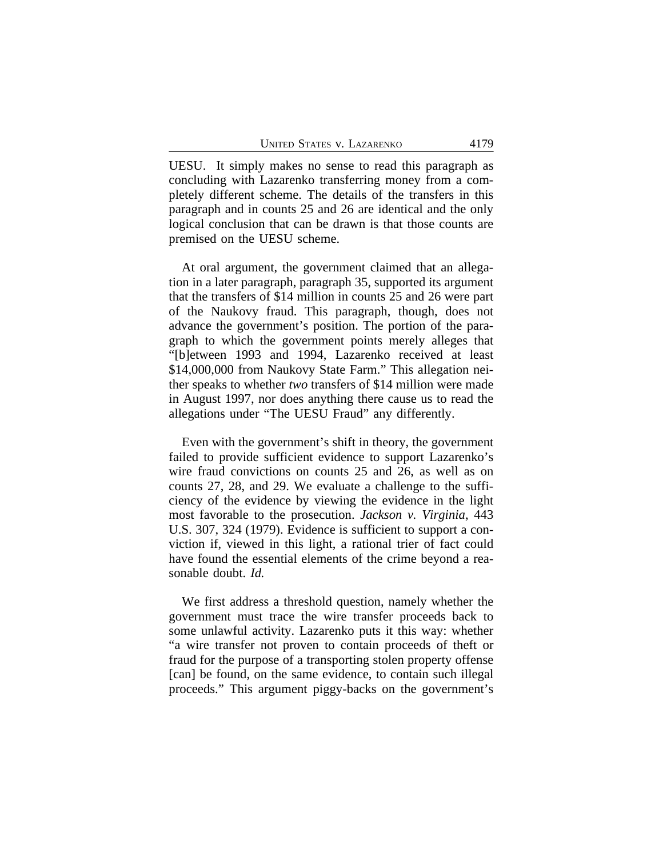UESU. It simply makes no sense to read this paragraph as concluding with Lazarenko transferring money from a completely different scheme. The details of the transfers in this paragraph and in counts 25 and 26 are identical and the only logical conclusion that can be drawn is that those counts are premised on the UESU scheme.

At oral argument, the government claimed that an allegation in a later paragraph, paragraph 35, supported its argument that the transfers of \$14 million in counts 25 and 26 were part of the Naukovy fraud. This paragraph, though, does not advance the government's position. The portion of the paragraph to which the government points merely alleges that "[b]etween 1993 and 1994, Lazarenko received at least \$14,000,000 from Naukovy State Farm." This allegation neither speaks to whether *two* transfers of \$14 million were made in August 1997, nor does anything there cause us to read the allegations under "The UESU Fraud" any differently.

Even with the government's shift in theory, the government failed to provide sufficient evidence to support Lazarenko's wire fraud convictions on counts 25 and 26, as well as on counts 27, 28, and 29. We evaluate a challenge to the sufficiency of the evidence by viewing the evidence in the light most favorable to the prosecution. *Jackson v. Virginia*, 443 U.S. 307, 324 (1979). Evidence is sufficient to support a conviction if, viewed in this light, a rational trier of fact could have found the essential elements of the crime beyond a reasonable doubt. *Id.*

We first address a threshold question, namely whether the government must trace the wire transfer proceeds back to some unlawful activity. Lazarenko puts it this way: whether "a wire transfer not proven to contain proceeds of theft or fraud for the purpose of a transporting stolen property offense [can] be found, on the same evidence, to contain such illegal proceeds." This argument piggy-backs on the government's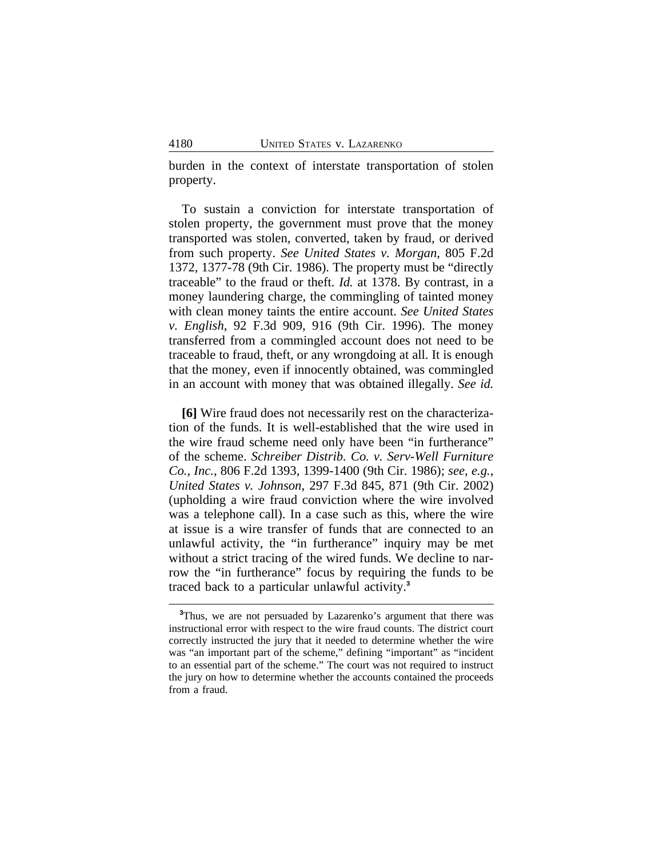burden in the context of interstate transportation of stolen property.

To sustain a conviction for interstate transportation of stolen property, the government must prove that the money transported was stolen, converted, taken by fraud, or derived from such property. *See United States v. Morgan*, 805 F.2d 1372, 1377-78 (9th Cir. 1986). The property must be "directly traceable" to the fraud or theft. *Id.* at 1378. By contrast, in a money laundering charge, the commingling of tainted money with clean money taints the entire account. *See United States v. English*, 92 F.3d 909, 916 (9th Cir. 1996). The money transferred from a commingled account does not need to be traceable to fraud, theft, or any wrongdoing at all. It is enough that the money, even if innocently obtained, was commingled in an account with money that was obtained illegally. *See id.*

**[6]** Wire fraud does not necessarily rest on the characterization of the funds. It is well-established that the wire used in the wire fraud scheme need only have been "in furtherance" of the scheme. *Schreiber Distrib. Co. v. Serv-Well Furniture Co., Inc.*, 806 F.2d 1393, 1399-1400 (9th Cir. 1986); *see*, *e.g.*, *United States v. Johnson*, 297 F.3d 845, 871 (9th Cir. 2002) (upholding a wire fraud conviction where the wire involved was a telephone call). In a case such as this, where the wire at issue is a wire transfer of funds that are connected to an unlawful activity, the "in furtherance" inquiry may be met without a strict tracing of the wired funds. We decline to narrow the "in furtherance" focus by requiring the funds to be traced back to a particular unlawful activity.**<sup>3</sup>**

**<sup>3</sup>**Thus, we are not persuaded by Lazarenko's argument that there was instructional error with respect to the wire fraud counts. The district court correctly instructed the jury that it needed to determine whether the wire was "an important part of the scheme," defining "important" as "incident to an essential part of the scheme." The court was not required to instruct the jury on how to determine whether the accounts contained the proceeds from a fraud.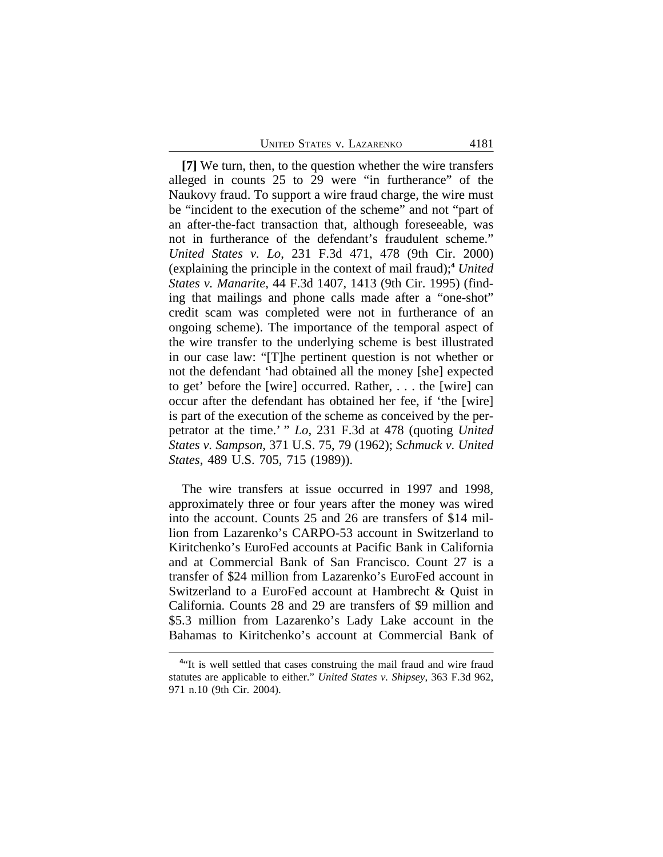**[7]** We turn, then, to the question whether the wire transfers alleged in counts 25 to 29 were "in furtherance" of the Naukovy fraud. To support a wire fraud charge, the wire must be "incident to the execution of the scheme" and not "part of an after-the-fact transaction that, although foreseeable, was not in furtherance of the defendant's fraudulent scheme." *United States v. Lo*, 231 F.3d 471, 478 (9th Cir. 2000) (explaining the principle in the context of mail fraud);**<sup>4</sup>**  *United States v. Manarite*, 44 F.3d 1407, 1413 (9th Cir. 1995) (finding that mailings and phone calls made after a "one-shot" credit scam was completed were not in furtherance of an ongoing scheme). The importance of the temporal aspect of the wire transfer to the underlying scheme is best illustrated in our case law: "[T]he pertinent question is not whether or not the defendant 'had obtained all the money [she] expected to get' before the [wire] occurred. Rather, . . . the [wire] can occur after the defendant has obtained her fee, if 'the [wire] is part of the execution of the scheme as conceived by the perpetrator at the time.' " *Lo*, 231 F.3d at 478 (quoting *United States v. Sampson*, 371 U.S. 75, 79 (1962); *Schmuck v. United States*, 489 U.S. 705, 715 (1989)).

The wire transfers at issue occurred in 1997 and 1998, approximately three or four years after the money was wired into the account. Counts 25 and 26 are transfers of \$14 million from Lazarenko's CARPO-53 account in Switzerland to Kiritchenko's EuroFed accounts at Pacific Bank in California and at Commercial Bank of San Francisco. Count 27 is a transfer of \$24 million from Lazarenko's EuroFed account in Switzerland to a EuroFed account at Hambrecht & Quist in California. Counts 28 and 29 are transfers of \$9 million and \$5.3 million from Lazarenko's Lady Lake account in the Bahamas to Kiritchenko's account at Commercial Bank of

<sup>&</sup>lt;sup>4</sup><sup>t</sup>It is well settled that cases construing the mail fraud and wire fraud statutes are applicable to either." *United States v. Shipsey*, 363 F.3d 962, 971 n.10 (9th Cir. 2004).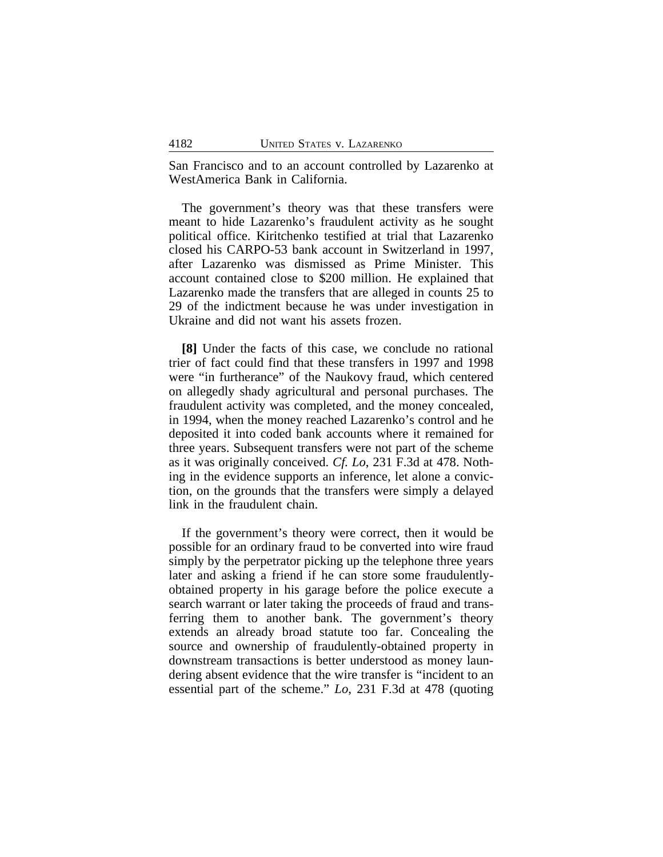San Francisco and to an account controlled by Lazarenko at WestAmerica Bank in California.

The government's theory was that these transfers were meant to hide Lazarenko's fraudulent activity as he sought political office. Kiritchenko testified at trial that Lazarenko closed his CARPO-53 bank account in Switzerland in 1997, after Lazarenko was dismissed as Prime Minister. This account contained close to \$200 million. He explained that Lazarenko made the transfers that are alleged in counts 25 to 29 of the indictment because he was under investigation in Ukraine and did not want his assets frozen.

**[8]** Under the facts of this case, we conclude no rational trier of fact could find that these transfers in 1997 and 1998 were "in furtherance" of the Naukovy fraud, which centered on allegedly shady agricultural and personal purchases. The fraudulent activity was completed, and the money concealed, in 1994, when the money reached Lazarenko's control and he deposited it into coded bank accounts where it remained for three years. Subsequent transfers were not part of the scheme as it was originally conceived. *Cf. Lo*, 231 F.3d at 478. Nothing in the evidence supports an inference, let alone a conviction, on the grounds that the transfers were simply a delayed link in the fraudulent chain.

If the government's theory were correct, then it would be possible for an ordinary fraud to be converted into wire fraud simply by the perpetrator picking up the telephone three years later and asking a friend if he can store some fraudulentlyobtained property in his garage before the police execute a search warrant or later taking the proceeds of fraud and transferring them to another bank. The government's theory extends an already broad statute too far. Concealing the source and ownership of fraudulently-obtained property in downstream transactions is better understood as money laundering absent evidence that the wire transfer is "incident to an essential part of the scheme." *Lo*, 231 F.3d at 478 (quoting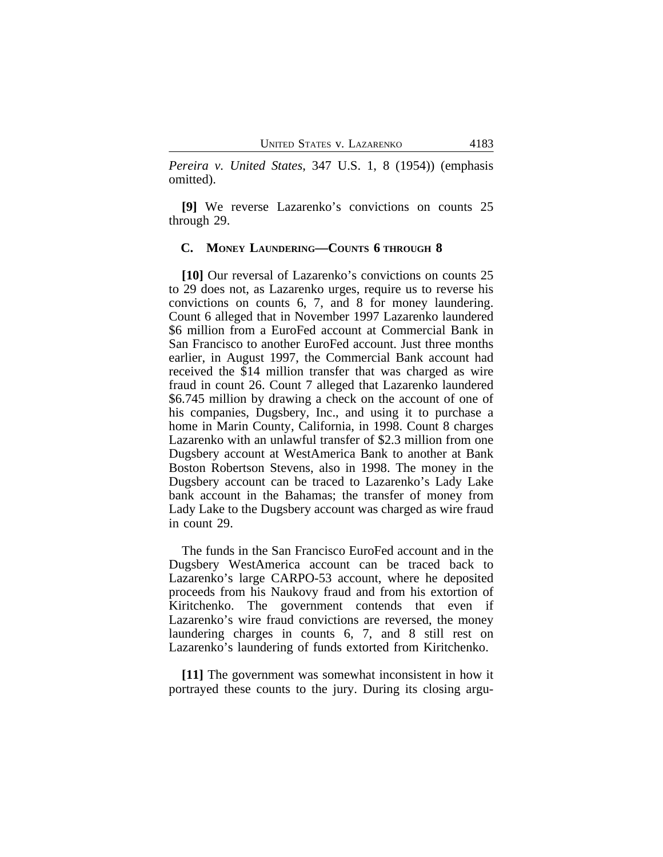*Pereira v. United States*, 347 U.S. 1, 8 (1954)) (emphasis omitted).

**[9]** We reverse Lazarenko's convictions on counts 25 through 29.

#### **C. MONEY LAUNDERING—COUNTS 6 THROUGH 8**

**[10]** Our reversal of Lazarenko's convictions on counts 25 to 29 does not, as Lazarenko urges, require us to reverse his convictions on counts 6, 7, and 8 for money laundering. Count 6 alleged that in November 1997 Lazarenko laundered \$6 million from a EuroFed account at Commercial Bank in San Francisco to another EuroFed account. Just three months earlier, in August 1997, the Commercial Bank account had received the \$14 million transfer that was charged as wire fraud in count 26. Count 7 alleged that Lazarenko laundered \$6.745 million by drawing a check on the account of one of his companies, Dugsbery, Inc., and using it to purchase a home in Marin County, California, in 1998. Count 8 charges Lazarenko with an unlawful transfer of \$2.3 million from one Dugsbery account at WestAmerica Bank to another at Bank Boston Robertson Stevens, also in 1998. The money in the Dugsbery account can be traced to Lazarenko's Lady Lake bank account in the Bahamas; the transfer of money from Lady Lake to the Dugsbery account was charged as wire fraud in count 29.

The funds in the San Francisco EuroFed account and in the Dugsbery WestAmerica account can be traced back to Lazarenko's large CARPO-53 account, where he deposited proceeds from his Naukovy fraud and from his extortion of Kiritchenko. The government contends that even if Lazarenko's wire fraud convictions are reversed, the money laundering charges in counts 6, 7, and 8 still rest on Lazarenko's laundering of funds extorted from Kiritchenko.

**[11]** The government was somewhat inconsistent in how it portrayed these counts to the jury. During its closing argu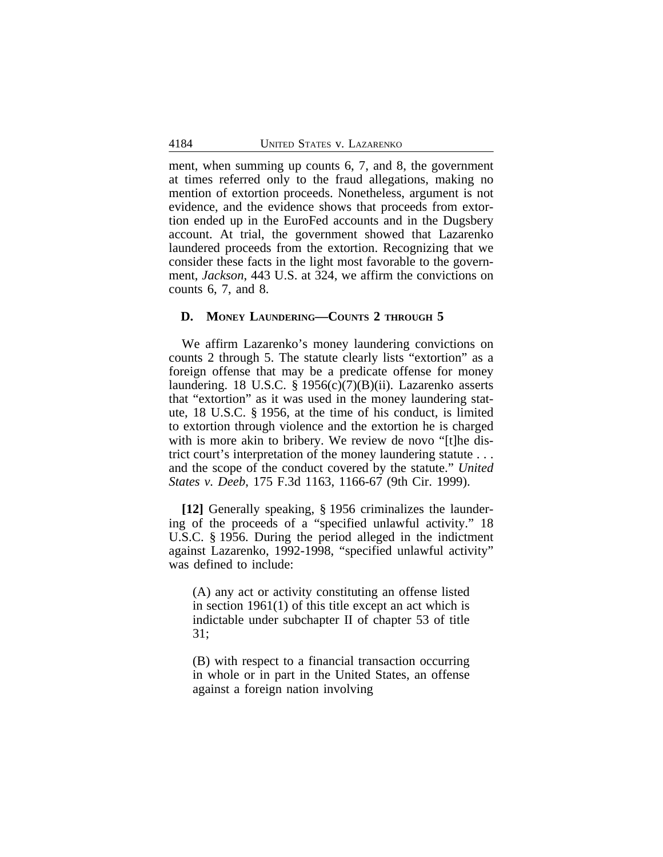ment, when summing up counts 6, 7, and 8, the government at times referred only to the fraud allegations, making no mention of extortion proceeds. Nonetheless, argument is not evidence, and the evidence shows that proceeds from extortion ended up in the EuroFed accounts and in the Dugsbery account. At trial, the government showed that Lazarenko laundered proceeds from the extortion. Recognizing that we consider these facts in the light most favorable to the government, *Jackson*, 443 U.S. at 324, we affirm the convictions on counts 6, 7, and 8.

#### **D. MONEY LAUNDERING—COUNTS 2 THROUGH 5**

We affirm Lazarenko's money laundering convictions on counts 2 through 5. The statute clearly lists "extortion" as a foreign offense that may be a predicate offense for money laundering. 18 U.S.C. § 1956(c)(7)(B)(ii). Lazarenko asserts that "extortion" as it was used in the money laundering statute, 18 U.S.C. § 1956, at the time of his conduct, is limited to extortion through violence and the extortion he is charged with is more akin to bribery. We review de novo "[t]he district court's interpretation of the money laundering statute . . . and the scope of the conduct covered by the statute." *United States v. Deeb*, 175 F.3d 1163, 1166-67 (9th Cir. 1999).

**[12]** Generally speaking, § 1956 criminalizes the laundering of the proceeds of a "specified unlawful activity." 18 U.S.C. § 1956. During the period alleged in the indictment against Lazarenko, 1992-1998, "specified unlawful activity" was defined to include:

(A) any act or activity constituting an offense listed in section 1961(1) of this title except an act which is indictable under subchapter II of chapter 53 of title 31;

(B) with respect to a financial transaction occurring in whole or in part in the United States, an offense against a foreign nation involving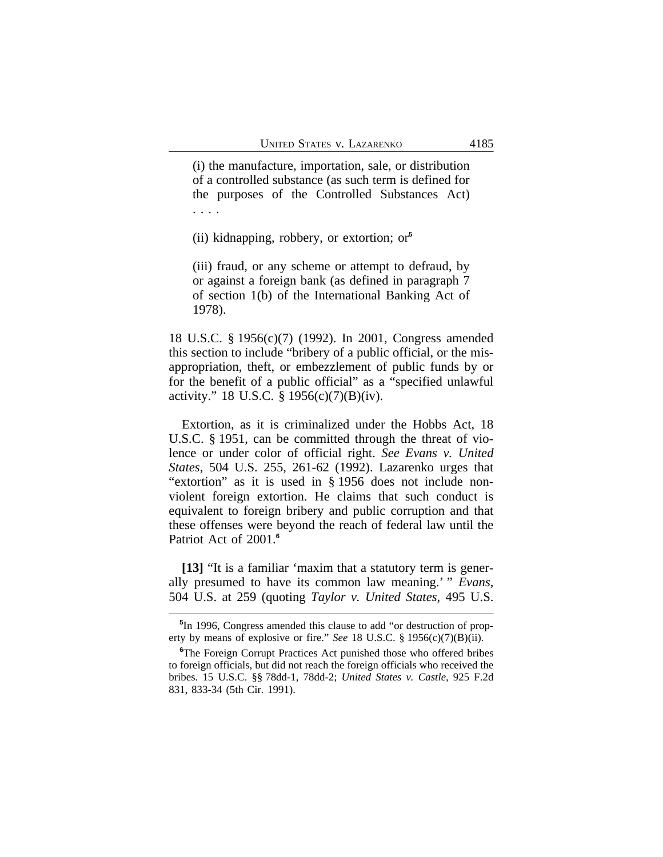(i) the manufacture, importation, sale, or distribution of a controlled substance (as such term is defined for the purposes of the Controlled Substances Act) . . . .

(ii) kidnapping, robbery, or extortion; or**<sup>5</sup>**

(iii) fraud, or any scheme or attempt to defraud, by or against a foreign bank (as defined in paragraph 7 of section 1(b) of the International Banking Act of 1978).

18 U.S.C. § 1956(c)(7) (1992). In 2001, Congress amended this section to include "bribery of a public official, or the misappropriation, theft, or embezzlement of public funds by or for the benefit of a public official" as a "specified unlawful activity." 18 U.S.C. § 1956(c)(7)(B)(iv).

Extortion, as it is criminalized under the Hobbs Act, 18 U.S.C. § 1951, can be committed through the threat of violence or under color of official right. *See Evans v. United States*, 504 U.S. 255, 261-62 (1992). Lazarenko urges that "extortion" as it is used in § 1956 does not include nonviolent foreign extortion. He claims that such conduct is equivalent to foreign bribery and public corruption and that these offenses were beyond the reach of federal law until the Patriot Act of 2001.**<sup>6</sup>**

**[13]** "It is a familiar 'maxim that a statutory term is generally presumed to have its common law meaning.' " *Evans*, 504 U.S. at 259 (quoting *Taylor v. United States*, 495 U.S.

**<sup>5</sup>** In 1996, Congress amended this clause to add "or destruction of property by means of explosive or fire." *See* 18 U.S.C. § 1956(c)(7)(B)(ii).

**<sup>6</sup>**The Foreign Corrupt Practices Act punished those who offered bribes to foreign officials, but did not reach the foreign officials who received the bribes. 15 U.S.C. §§ 78dd-1, 78dd-2; *United States v. Castle*, 925 F.2d 831, 833-34 (5th Cir. 1991).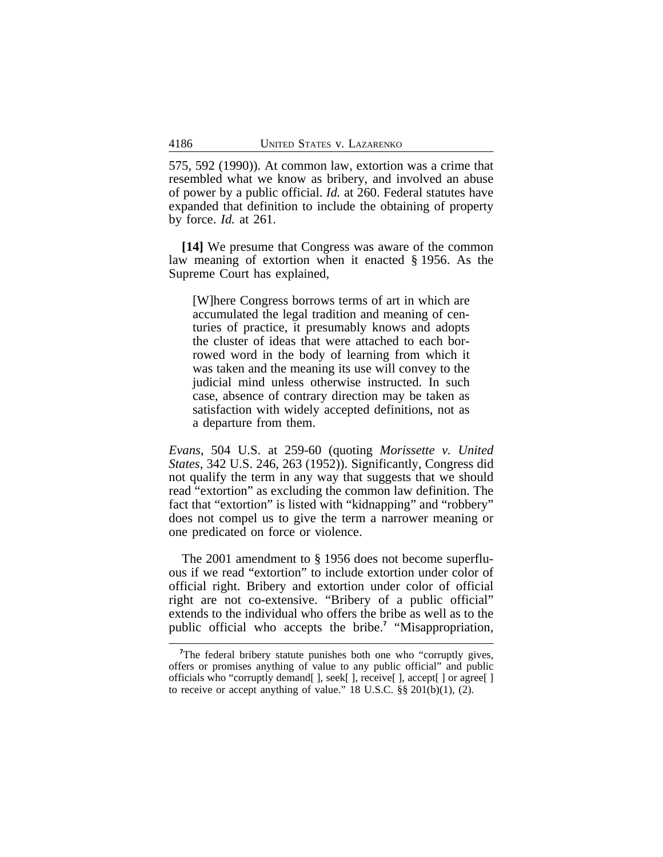575, 592 (1990)). At common law, extortion was a crime that resembled what we know as bribery, and involved an abuse of power by a public official. *Id.* at 260. Federal statutes have expanded that definition to include the obtaining of property by force. *Id.* at 261.

**[14]** We presume that Congress was aware of the common law meaning of extortion when it enacted § 1956. As the Supreme Court has explained,

[W]here Congress borrows terms of art in which are accumulated the legal tradition and meaning of centuries of practice, it presumably knows and adopts the cluster of ideas that were attached to each borrowed word in the body of learning from which it was taken and the meaning its use will convey to the judicial mind unless otherwise instructed. In such case, absence of contrary direction may be taken as satisfaction with widely accepted definitions, not as a departure from them.

*Evans*, 504 U.S. at 259-60 (quoting *Morissette v. United States*, 342 U.S. 246, 263 (1952)). Significantly, Congress did not qualify the term in any way that suggests that we should read "extortion" as excluding the common law definition. The fact that "extortion" is listed with "kidnapping" and "robbery" does not compel us to give the term a narrower meaning or one predicated on force or violence.

The 2001 amendment to § 1956 does not become superfluous if we read "extortion" to include extortion under color of official right. Bribery and extortion under color of official right are not co-extensive. "Bribery of a public official" extends to the individual who offers the bribe as well as to the public official who accepts the bribe.**<sup>7</sup>** "Misappropriation,

<sup>&</sup>lt;sup>7</sup>The federal bribery statute punishes both one who "corruptly gives, offers or promises anything of value to any public official" and public officials who "corruptly demand[ ], seek[ ], receive[ ], accept[ ] or agree[ ] to receive or accept anything of value."  $18 \text{ U.S.C. }$   $\S\S 201(b)(1), (2)$ .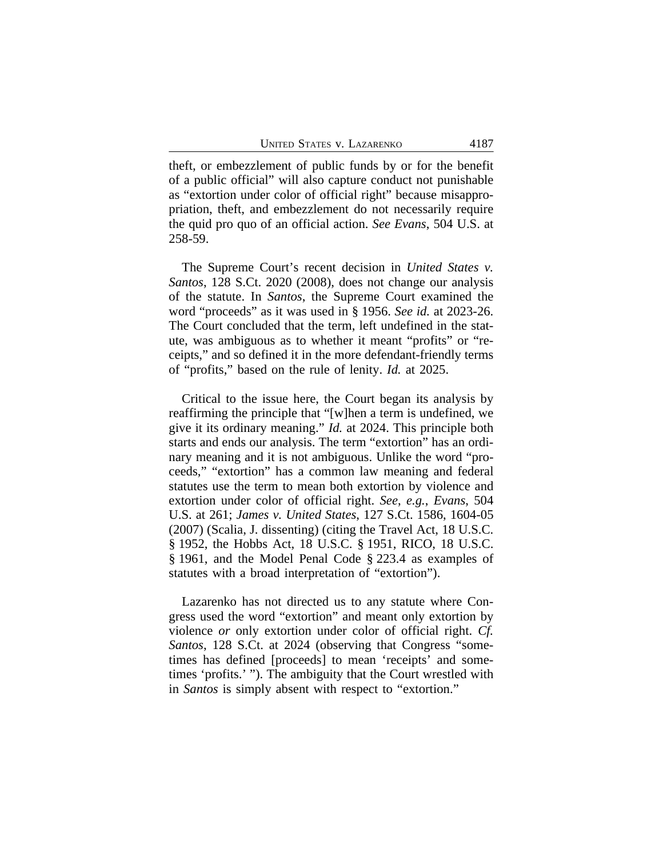theft, or embezzlement of public funds by or for the benefit of a public official" will also capture conduct not punishable as "extortion under color of official right" because misappropriation, theft, and embezzlement do not necessarily require the quid pro quo of an official action. *See Evans*, 504 U.S. at 258-59.

The Supreme Court's recent decision in *United States v. Santos*, 128 S.Ct. 2020 (2008), does not change our analysis of the statute. In *Santos*, the Supreme Court examined the word "proceeds" as it was used in § 1956. *See id.* at 2023-26. The Court concluded that the term, left undefined in the statute, was ambiguous as to whether it meant "profits" or "receipts," and so defined it in the more defendant-friendly terms of "profits," based on the rule of lenity. *Id.* at 2025.

Critical to the issue here, the Court began its analysis by reaffirming the principle that "[w]hen a term is undefined, we give it its ordinary meaning." *Id.* at 2024. This principle both starts and ends our analysis. The term "extortion" has an ordinary meaning and it is not ambiguous. Unlike the word "proceeds," "extortion" has a common law meaning and federal statutes use the term to mean both extortion by violence and extortion under color of official right. *See*, *e.g.*, *Evans*, 504 U.S. at 261; *James v. United States*, 127 S.Ct. 1586, 1604-05 (2007) (Scalia, J. dissenting) (citing the Travel Act, 18 U.S.C. § 1952, the Hobbs Act, 18 U.S.C. § 1951, RICO, 18 U.S.C. § 1961, and the Model Penal Code § 223.4 as examples of statutes with a broad interpretation of "extortion").

Lazarenko has not directed us to any statute where Congress used the word "extortion" and meant only extortion by violence *or* only extortion under color of official right. *Cf. Santos*, 128 S.Ct. at 2024 (observing that Congress "sometimes has defined [proceeds] to mean 'receipts' and sometimes 'profits.' "). The ambiguity that the Court wrestled with in *Santos* is simply absent with respect to "extortion."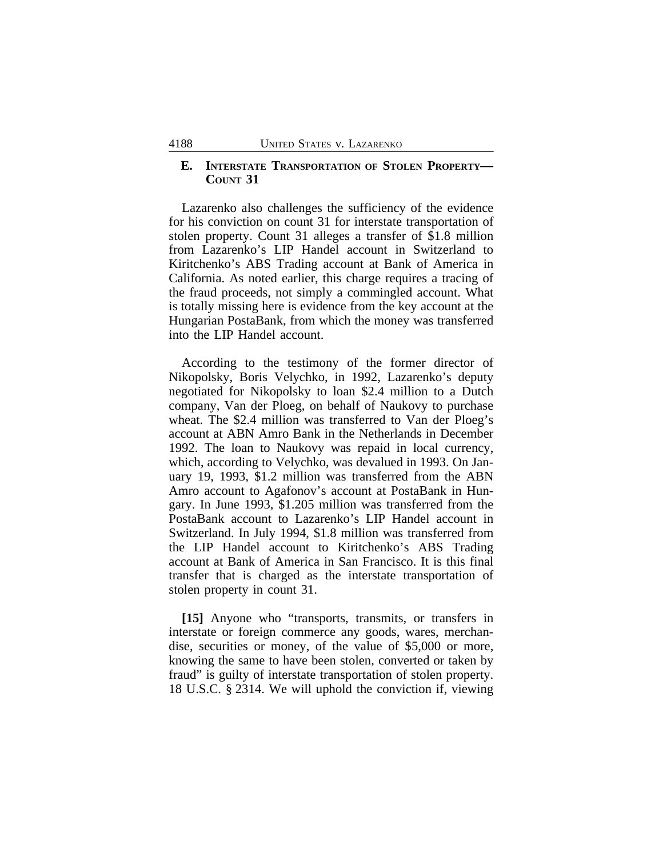# **E. INTERSTATE TRANSPORTATION OF STOLEN PROPERTY— COUNT 31**

Lazarenko also challenges the sufficiency of the evidence for his conviction on count 31 for interstate transportation of stolen property. Count 31 alleges a transfer of \$1.8 million from Lazarenko's LIP Handel account in Switzerland to Kiritchenko's ABS Trading account at Bank of America in California. As noted earlier, this charge requires a tracing of the fraud proceeds, not simply a commingled account. What is totally missing here is evidence from the key account at the Hungarian PostaBank, from which the money was transferred into the LIP Handel account.

According to the testimony of the former director of Nikopolsky, Boris Velychko, in 1992, Lazarenko's deputy negotiated for Nikopolsky to loan \$2.4 million to a Dutch company, Van der Ploeg, on behalf of Naukovy to purchase wheat. The \$2.4 million was transferred to Van der Ploeg's account at ABN Amro Bank in the Netherlands in December 1992. The loan to Naukovy was repaid in local currency, which, according to Velychko, was devalued in 1993. On January 19, 1993, \$1.2 million was transferred from the ABN Amro account to Agafonov's account at PostaBank in Hungary. In June 1993, \$1.205 million was transferred from the PostaBank account to Lazarenko's LIP Handel account in Switzerland. In July 1994, \$1.8 million was transferred from the LIP Handel account to Kiritchenko's ABS Trading account at Bank of America in San Francisco. It is this final transfer that is charged as the interstate transportation of stolen property in count 31.

**[15]** Anyone who "transports, transmits, or transfers in interstate or foreign commerce any goods, wares, merchandise, securities or money, of the value of \$5,000 or more, knowing the same to have been stolen, converted or taken by fraud" is guilty of interstate transportation of stolen property. 18 U.S.C. § 2314. We will uphold the conviction if, viewing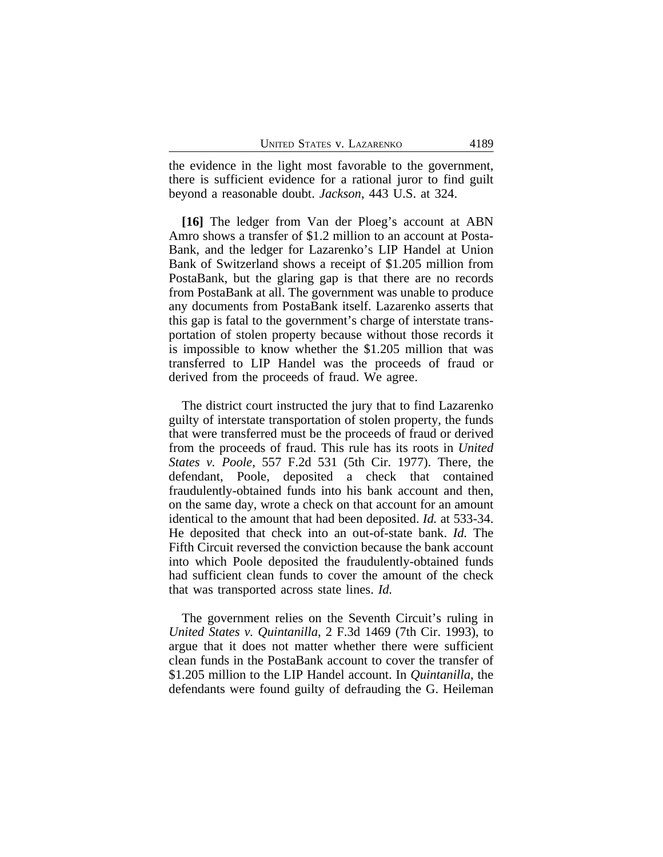the evidence in the light most favorable to the government, there is sufficient evidence for a rational juror to find guilt beyond a reasonable doubt. *Jackson*, 443 U.S. at 324.

**[16]** The ledger from Van der Ploeg's account at ABN Amro shows a transfer of \$1.2 million to an account at Posta-Bank, and the ledger for Lazarenko's LIP Handel at Union Bank of Switzerland shows a receipt of \$1.205 million from PostaBank, but the glaring gap is that there are no records from PostaBank at all. The government was unable to produce any documents from PostaBank itself. Lazarenko asserts that this gap is fatal to the government's charge of interstate transportation of stolen property because without those records it is impossible to know whether the \$1.205 million that was transferred to LIP Handel was the proceeds of fraud or derived from the proceeds of fraud. We agree.

The district court instructed the jury that to find Lazarenko guilty of interstate transportation of stolen property, the funds that were transferred must be the proceeds of fraud or derived from the proceeds of fraud. This rule has its roots in *United States v. Poole*, 557 F.2d 531 (5th Cir. 1977). There, the defendant, Poole, deposited a check that contained fraudulently-obtained funds into his bank account and then, on the same day, wrote a check on that account for an amount identical to the amount that had been deposited. *Id.* at 533-34. He deposited that check into an out-of-state bank. *Id.* The Fifth Circuit reversed the conviction because the bank account into which Poole deposited the fraudulently-obtained funds had sufficient clean funds to cover the amount of the check that was transported across state lines. *Id.*

The government relies on the Seventh Circuit's ruling in *United States v. Quintanilla*, 2 F.3d 1469 (7th Cir. 1993), to argue that it does not matter whether there were sufficient clean funds in the PostaBank account to cover the transfer of \$1.205 million to the LIP Handel account. In *Quintanilla*, the defendants were found guilty of defrauding the G. Heileman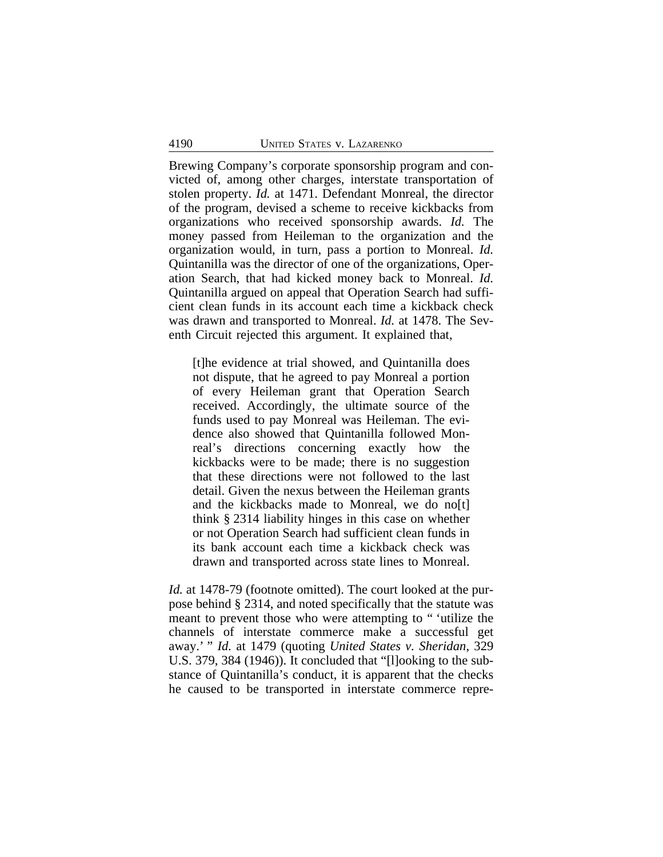Brewing Company's corporate sponsorship program and convicted of, among other charges, interstate transportation of stolen property. *Id.* at 1471. Defendant Monreal, the director of the program, devised a scheme to receive kickbacks from organizations who received sponsorship awards. *Id.* The money passed from Heileman to the organization and the organization would, in turn, pass a portion to Monreal. *Id.* Quintanilla was the director of one of the organizations, Operation Search, that had kicked money back to Monreal. *Id.* Quintanilla argued on appeal that Operation Search had sufficient clean funds in its account each time a kickback check was drawn and transported to Monreal. *Id.* at 1478. The Seventh Circuit rejected this argument. It explained that,

[t]he evidence at trial showed, and Quintanilla does not dispute, that he agreed to pay Monreal a portion of every Heileman grant that Operation Search received. Accordingly, the ultimate source of the funds used to pay Monreal was Heileman. The evidence also showed that Quintanilla followed Monreal's directions concerning exactly how the kickbacks were to be made; there is no suggestion that these directions were not followed to the last detail. Given the nexus between the Heileman grants and the kickbacks made to Monreal, we do no[t] think § 2314 liability hinges in this case on whether or not Operation Search had sufficient clean funds in its bank account each time a kickback check was drawn and transported across state lines to Monreal.

*Id.* at 1478-79 (footnote omitted). The court looked at the purpose behind § 2314, and noted specifically that the statute was meant to prevent those who were attempting to " 'utilize the channels of interstate commerce make a successful get away.' " *Id.* at 1479 (quoting *United States v. Sheridan*, 329 U.S. 379, 384 (1946)). It concluded that "[l]ooking to the substance of Quintanilla's conduct, it is apparent that the checks he caused to be transported in interstate commerce repre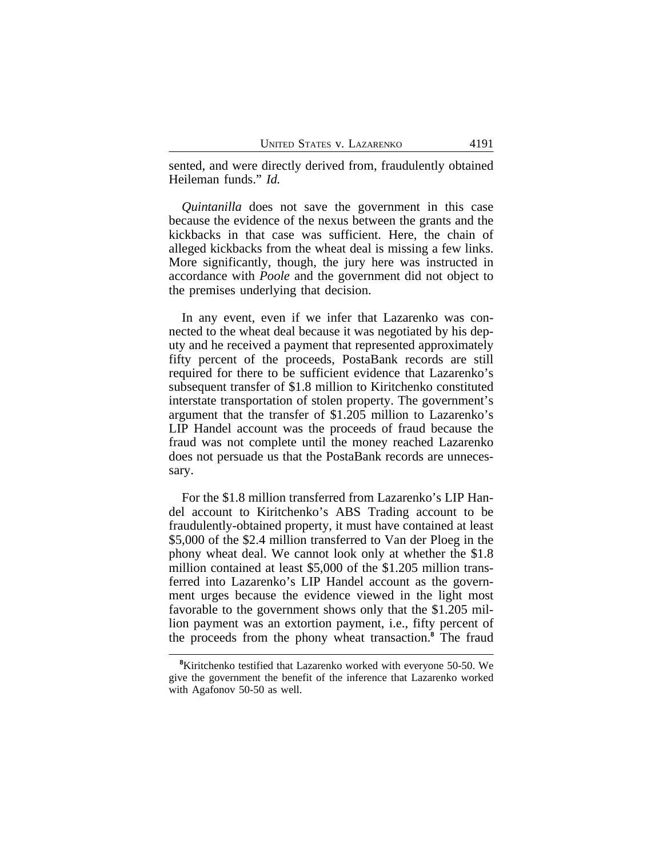sented, and were directly derived from, fraudulently obtained Heileman funds." *Id.*

*Quintanilla* does not save the government in this case because the evidence of the nexus between the grants and the kickbacks in that case was sufficient. Here, the chain of alleged kickbacks from the wheat deal is missing a few links. More significantly, though, the jury here was instructed in accordance with *Poole* and the government did not object to the premises underlying that decision.

In any event, even if we infer that Lazarenko was connected to the wheat deal because it was negotiated by his deputy and he received a payment that represented approximately fifty percent of the proceeds, PostaBank records are still required for there to be sufficient evidence that Lazarenko's subsequent transfer of \$1.8 million to Kiritchenko constituted interstate transportation of stolen property. The government's argument that the transfer of \$1.205 million to Lazarenko's LIP Handel account was the proceeds of fraud because the fraud was not complete until the money reached Lazarenko does not persuade us that the PostaBank records are unnecessary.

For the \$1.8 million transferred from Lazarenko's LIP Handel account to Kiritchenko's ABS Trading account to be fraudulently-obtained property, it must have contained at least \$5,000 of the \$2.4 million transferred to Van der Ploeg in the phony wheat deal. We cannot look only at whether the \$1.8 million contained at least \$5,000 of the \$1.205 million transferred into Lazarenko's LIP Handel account as the government urges because the evidence viewed in the light most favorable to the government shows only that the \$1.205 million payment was an extortion payment, i.e., fifty percent of the proceeds from the phony wheat transaction.**<sup>8</sup>** The fraud

**<sup>8</sup>**Kiritchenko testified that Lazarenko worked with everyone 50-50. We give the government the benefit of the inference that Lazarenko worked with Agafonov 50-50 as well.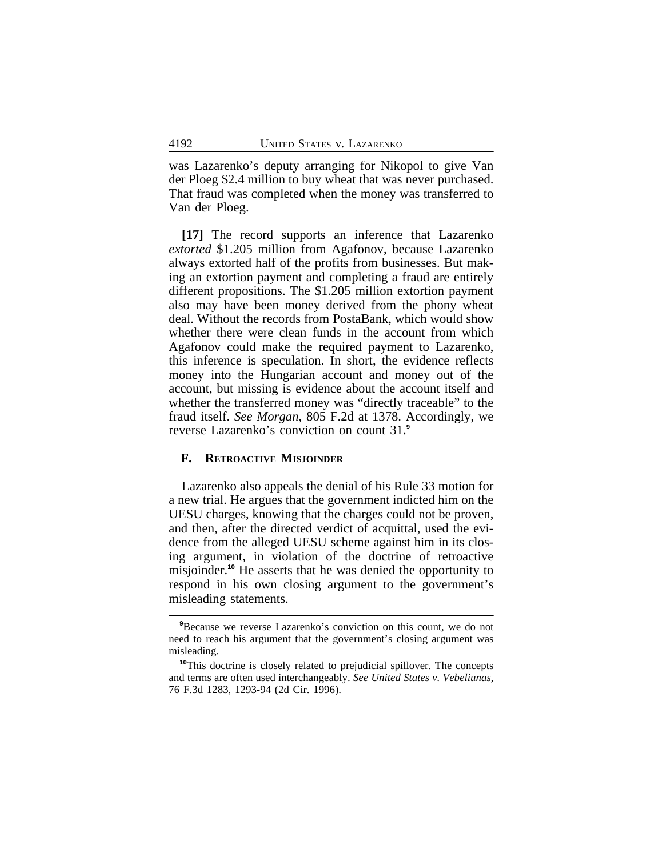was Lazarenko's deputy arranging for Nikopol to give Van der Ploeg \$2.4 million to buy wheat that was never purchased. That fraud was completed when the money was transferred to Van der Ploeg.

**[17]** The record supports an inference that Lazarenko *extorted* \$1.205 million from Agafonov, because Lazarenko always extorted half of the profits from businesses. But making an extortion payment and completing a fraud are entirely different propositions. The \$1.205 million extortion payment also may have been money derived from the phony wheat deal. Without the records from PostaBank, which would show whether there were clean funds in the account from which Agafonov could make the required payment to Lazarenko, this inference is speculation. In short, the evidence reflects money into the Hungarian account and money out of the account, but missing is evidence about the account itself and whether the transferred money was "directly traceable" to the fraud itself. *See Morgan*, 805 F.2d at 1378. Accordingly, we reverse Lazarenko's conviction on count 31.**<sup>9</sup>**

## **F. RETROACTIVE MISJOINDER**

Lazarenko also appeals the denial of his Rule 33 motion for a new trial. He argues that the government indicted him on the UESU charges, knowing that the charges could not be proven, and then, after the directed verdict of acquittal, used the evidence from the alleged UESU scheme against him in its closing argument, in violation of the doctrine of retroactive misjoinder.**<sup>10</sup>** He asserts that he was denied the opportunity to respond in his own closing argument to the government's misleading statements.

<sup>&</sup>lt;sup>9</sup>Because we reverse Lazarenko's conviction on this count, we do not need to reach his argument that the government's closing argument was misleading.

**<sup>10</sup>**This doctrine is closely related to prejudicial spillover. The concepts and terms are often used interchangeably. *See United States v. Vebeliunas*, 76 F.3d 1283, 1293-94 (2d Cir. 1996).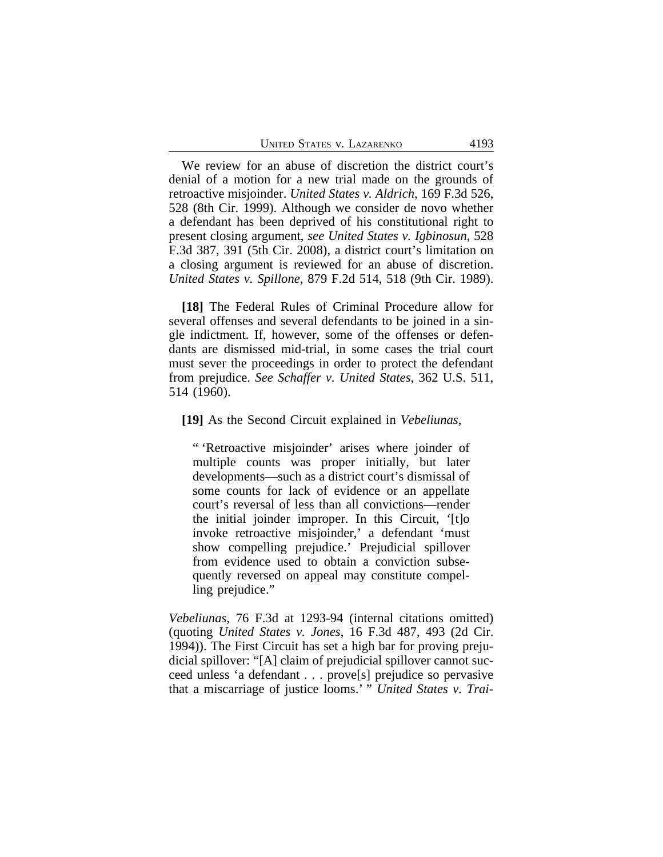We review for an abuse of discretion the district court's denial of a motion for a new trial made on the grounds of retroactive misjoinder. *United States v. Aldrich*, 169 F.3d 526, 528 (8th Cir. 1999). Although we consider de novo whether a defendant has been deprived of his constitutional right to present closing argument, *see United States v. Igbinosun*, 528 F.3d 387, 391 (5th Cir. 2008), a district court's limitation on a closing argument is reviewed for an abuse of discretion. *United States v. Spillone*, 879 F.2d 514, 518 (9th Cir. 1989).

**[18]** The Federal Rules of Criminal Procedure allow for several offenses and several defendants to be joined in a single indictment. If, however, some of the offenses or defendants are dismissed mid-trial, in some cases the trial court must sever the proceedings in order to protect the defendant from prejudice. *See Schaffer v. United States*, 362 U.S. 511, 514 (1960).

#### **[19]** As the Second Circuit explained in *Vebeliunas*,

" 'Retroactive misjoinder' arises where joinder of multiple counts was proper initially, but later developments—such as a district court's dismissal of some counts for lack of evidence or an appellate court's reversal of less than all convictions—render the initial joinder improper. In this Circuit, '[t]o invoke retroactive misjoinder,' a defendant 'must show compelling prejudice.' Prejudicial spillover from evidence used to obtain a conviction subsequently reversed on appeal may constitute compelling prejudice."

*Vebeliunas*, 76 F.3d at 1293-94 (internal citations omitted) (quoting *United States v. Jones*, 16 F.3d 487, 493 (2d Cir. 1994)). The First Circuit has set a high bar for proving prejudicial spillover: "[A] claim of prejudicial spillover cannot succeed unless 'a defendant . . . prove[s] prejudice so pervasive that a miscarriage of justice looms.' " *United States v. Trai-*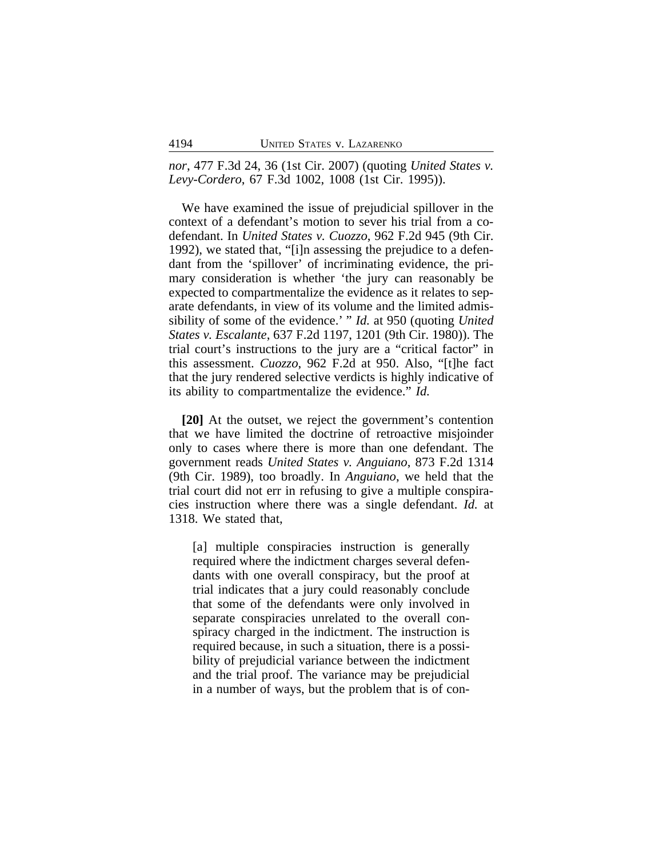*nor*, 477 F.3d 24, 36 (1st Cir. 2007) (quoting *United States v. Levy-Cordero*, 67 F.3d 1002, 1008 (1st Cir. 1995)).

We have examined the issue of prejudicial spillover in the context of a defendant's motion to sever his trial from a codefendant. In *United States v. Cuozzo*, 962 F.2d 945 (9th Cir. 1992), we stated that, "[i]n assessing the prejudice to a defendant from the 'spillover' of incriminating evidence, the primary consideration is whether 'the jury can reasonably be expected to compartmentalize the evidence as it relates to separate defendants, in view of its volume and the limited admissibility of some of the evidence.' " *Id.* at 950 (quoting *United States v. Escalante*, 637 F.2d 1197, 1201 (9th Cir. 1980)). The trial court's instructions to the jury are a "critical factor" in this assessment. *Cuozzo*, 962 F.2d at 950. Also, "[t]he fact that the jury rendered selective verdicts is highly indicative of its ability to compartmentalize the evidence." *Id.*

**[20]** At the outset, we reject the government's contention that we have limited the doctrine of retroactive misjoinder only to cases where there is more than one defendant. The government reads *United States v. Anguiano*, 873 F.2d 1314 (9th Cir. 1989), too broadly. In *Anguiano*, we held that the trial court did not err in refusing to give a multiple conspiracies instruction where there was a single defendant. *Id.* at 1318. We stated that,

[a] multiple conspiracies instruction is generally required where the indictment charges several defendants with one overall conspiracy, but the proof at trial indicates that a jury could reasonably conclude that some of the defendants were only involved in separate conspiracies unrelated to the overall conspiracy charged in the indictment. The instruction is required because, in such a situation, there is a possibility of prejudicial variance between the indictment and the trial proof. The variance may be prejudicial in a number of ways, but the problem that is of con-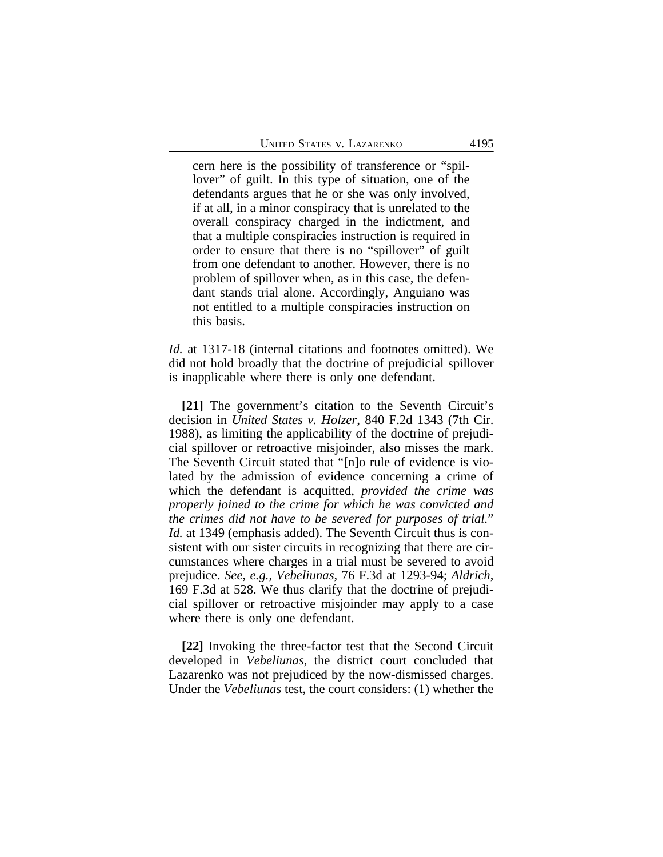cern here is the possibility of transference or "spillover" of guilt. In this type of situation, one of the defendants argues that he or she was only involved, if at all, in a minor conspiracy that is unrelated to the overall conspiracy charged in the indictment, and that a multiple conspiracies instruction is required in order to ensure that there is no "spillover" of guilt from one defendant to another. However, there is no problem of spillover when, as in this case, the defendant stands trial alone. Accordingly, Anguiano was not entitled to a multiple conspiracies instruction on this basis.

*Id.* at 1317-18 (internal citations and footnotes omitted). We did not hold broadly that the doctrine of prejudicial spillover is inapplicable where there is only one defendant.

**[21]** The government's citation to the Seventh Circuit's decision in *United States v. Holzer*, 840 F.2d 1343 (7th Cir. 1988), as limiting the applicability of the doctrine of prejudicial spillover or retroactive misjoinder, also misses the mark. The Seventh Circuit stated that "[n]o rule of evidence is violated by the admission of evidence concerning a crime of which the defendant is acquitted, *provided the crime was properly joined to the crime for which he was convicted and the crimes did not have to be severed for purposes of trial.*" *Id.* at 1349 (emphasis added). The Seventh Circuit thus is consistent with our sister circuits in recognizing that there are circumstances where charges in a trial must be severed to avoid prejudice. *See*, *e.g.*, *Vebeliunas*, 76 F.3d at 1293-94; *Aldrich*, 169 F.3d at 528. We thus clarify that the doctrine of prejudicial spillover or retroactive misjoinder may apply to a case where there is only one defendant.

**[22]** Invoking the three-factor test that the Second Circuit developed in *Vebeliunas*, the district court concluded that Lazarenko was not prejudiced by the now-dismissed charges. Under the *Vebeliunas* test, the court considers: (1) whether the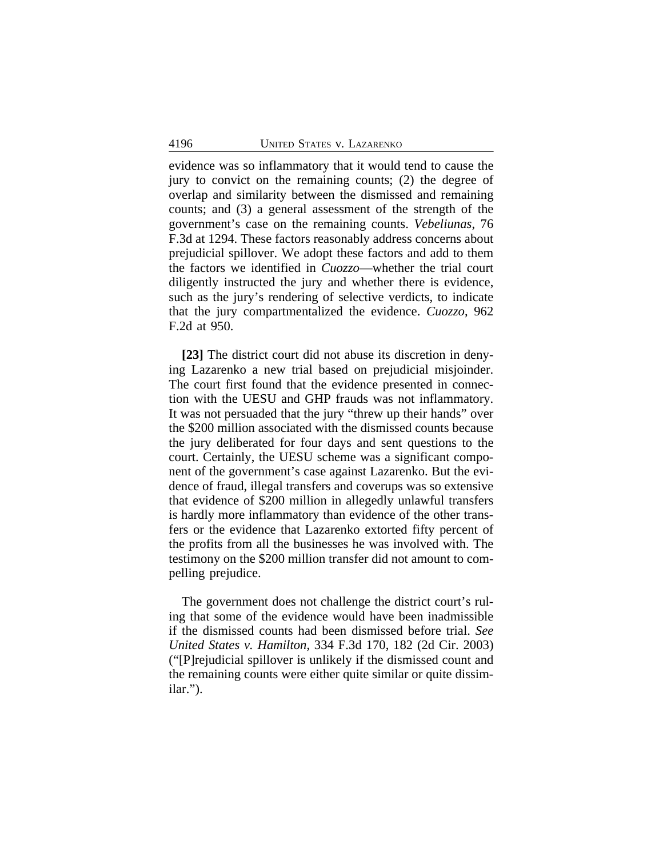evidence was so inflammatory that it would tend to cause the jury to convict on the remaining counts; (2) the degree of overlap and similarity between the dismissed and remaining counts; and (3) a general assessment of the strength of the government's case on the remaining counts. *Vebeliunas*, 76 F.3d at 1294. These factors reasonably address concerns about prejudicial spillover. We adopt these factors and add to them the factors we identified in *Cuozzo*—whether the trial court diligently instructed the jury and whether there is evidence, such as the jury's rendering of selective verdicts, to indicate that the jury compartmentalized the evidence. *Cuozzo*, 962 F.2d at 950.

**[23]** The district court did not abuse its discretion in denying Lazarenko a new trial based on prejudicial misjoinder. The court first found that the evidence presented in connection with the UESU and GHP frauds was not inflammatory. It was not persuaded that the jury "threw up their hands" over the \$200 million associated with the dismissed counts because the jury deliberated for four days and sent questions to the court. Certainly, the UESU scheme was a significant component of the government's case against Lazarenko. But the evidence of fraud, illegal transfers and coverups was so extensive that evidence of \$200 million in allegedly unlawful transfers is hardly more inflammatory than evidence of the other transfers or the evidence that Lazarenko extorted fifty percent of the profits from all the businesses he was involved with. The testimony on the \$200 million transfer did not amount to compelling prejudice.

The government does not challenge the district court's ruling that some of the evidence would have been inadmissible if the dismissed counts had been dismissed before trial. *See United States v. Hamilton*, 334 F.3d 170, 182 (2d Cir. 2003) ("[P]rejudicial spillover is unlikely if the dismissed count and the remaining counts were either quite similar or quite dissimilar.").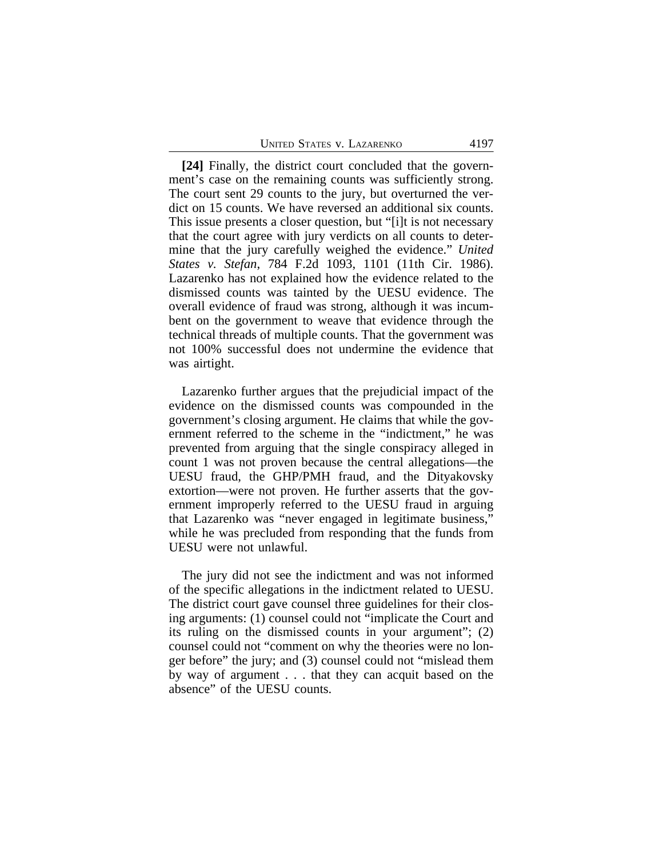**[24]** Finally, the district court concluded that the government's case on the remaining counts was sufficiently strong. The court sent 29 counts to the jury, but overturned the verdict on 15 counts. We have reversed an additional six counts. This issue presents a closer question, but "[i]t is not necessary that the court agree with jury verdicts on all counts to determine that the jury carefully weighed the evidence." *United States v. Stefan*, 784 F.2d 1093, 1101 (11th Cir. 1986). Lazarenko has not explained how the evidence related to the dismissed counts was tainted by the UESU evidence. The overall evidence of fraud was strong, although it was incumbent on the government to weave that evidence through the technical threads of multiple counts. That the government was not 100% successful does not undermine the evidence that was airtight.

Lazarenko further argues that the prejudicial impact of the evidence on the dismissed counts was compounded in the government's closing argument. He claims that while the government referred to the scheme in the "indictment," he was prevented from arguing that the single conspiracy alleged in count 1 was not proven because the central allegations—the UESU fraud, the GHP/PMH fraud, and the Dityakovsky extortion—were not proven. He further asserts that the government improperly referred to the UESU fraud in arguing that Lazarenko was "never engaged in legitimate business," while he was precluded from responding that the funds from UESU were not unlawful.

The jury did not see the indictment and was not informed of the specific allegations in the indictment related to UESU. The district court gave counsel three guidelines for their closing arguments: (1) counsel could not "implicate the Court and its ruling on the dismissed counts in your argument"; (2) counsel could not "comment on why the theories were no longer before" the jury; and (3) counsel could not "mislead them by way of argument . . . that they can acquit based on the absence" of the UESU counts.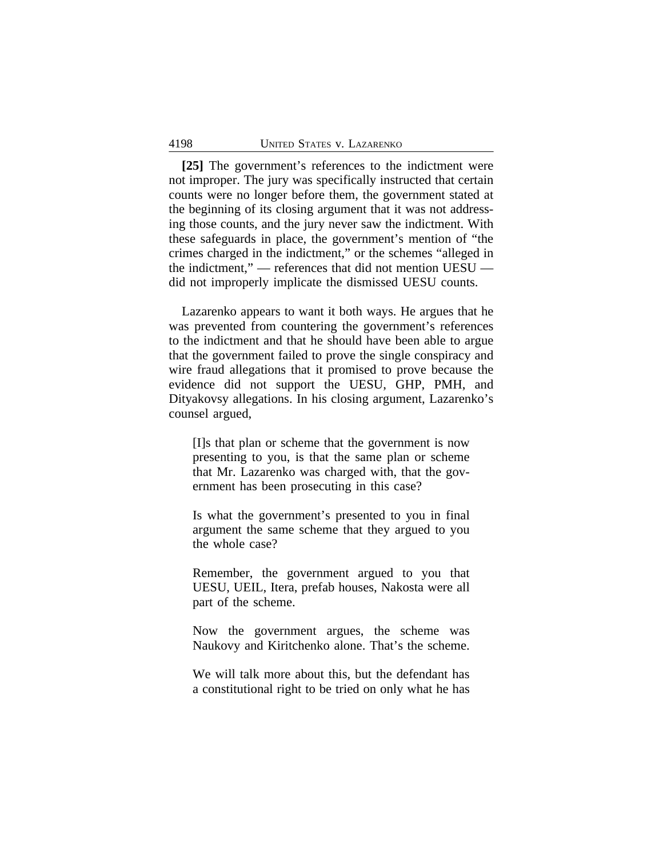**[25]** The government's references to the indictment were not improper. The jury was specifically instructed that certain counts were no longer before them, the government stated at the beginning of its closing argument that it was not addressing those counts, and the jury never saw the indictment. With these safeguards in place, the government's mention of "the crimes charged in the indictment," or the schemes "alleged in the indictment," — references that did not mention UESU did not improperly implicate the dismissed UESU counts.

Lazarenko appears to want it both ways. He argues that he was prevented from countering the government's references to the indictment and that he should have been able to argue that the government failed to prove the single conspiracy and wire fraud allegations that it promised to prove because the evidence did not support the UESU, GHP, PMH, and Dityakovsy allegations. In his closing argument, Lazarenko's counsel argued,

[I]s that plan or scheme that the government is now presenting to you, is that the same plan or scheme that Mr. Lazarenko was charged with, that the government has been prosecuting in this case?

Is what the government's presented to you in final argument the same scheme that they argued to you the whole case?

Remember, the government argued to you that UESU, UEIL, Itera, prefab houses, Nakosta were all part of the scheme.

Now the government argues, the scheme was Naukovy and Kiritchenko alone. That's the scheme.

We will talk more about this, but the defendant has a constitutional right to be tried on only what he has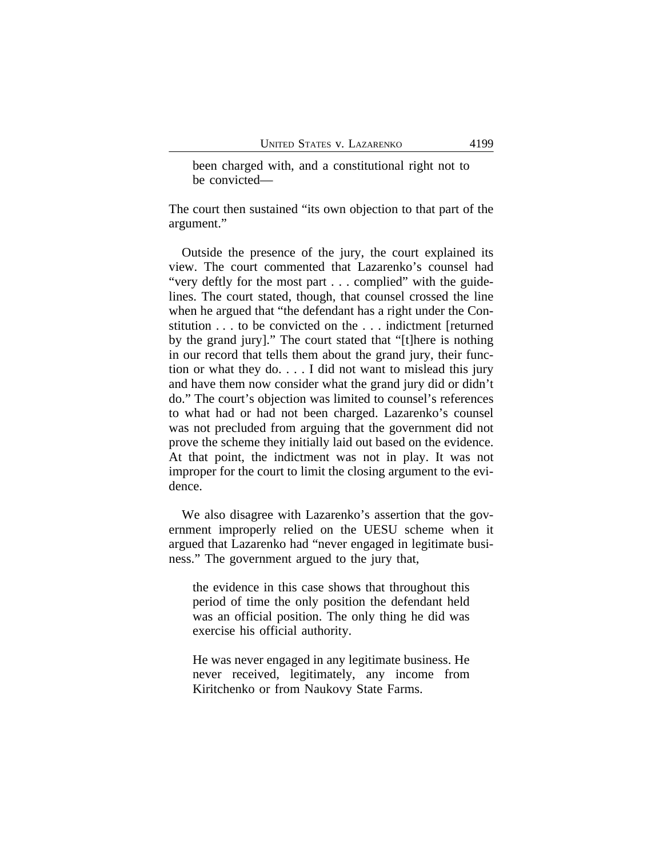been charged with, and a constitutional right not to be convicted—

The court then sustained "its own objection to that part of the argument."

Outside the presence of the jury, the court explained its view. The court commented that Lazarenko's counsel had "very deftly for the most part . . . complied" with the guidelines. The court stated, though, that counsel crossed the line when he argued that "the defendant has a right under the Constitution . . . to be convicted on the . . . indictment [returned by the grand jury]." The court stated that "[t]here is nothing in our record that tells them about the grand jury, their function or what they do. . . . I did not want to mislead this jury and have them now consider what the grand jury did or didn't do." The court's objection was limited to counsel's references to what had or had not been charged. Lazarenko's counsel was not precluded from arguing that the government did not prove the scheme they initially laid out based on the evidence. At that point, the indictment was not in play. It was not improper for the court to limit the closing argument to the evidence.

We also disagree with Lazarenko's assertion that the government improperly relied on the UESU scheme when it argued that Lazarenko had "never engaged in legitimate business." The government argued to the jury that,

the evidence in this case shows that throughout this period of time the only position the defendant held was an official position. The only thing he did was exercise his official authority.

He was never engaged in any legitimate business. He never received, legitimately, any income from Kiritchenko or from Naukovy State Farms.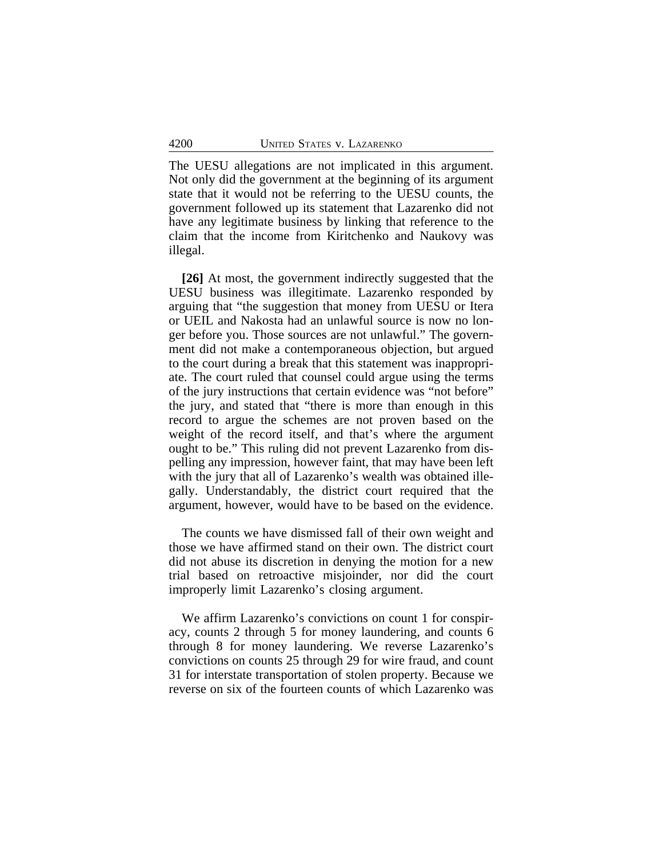The UESU allegations are not implicated in this argument. Not only did the government at the beginning of its argument state that it would not be referring to the UESU counts, the government followed up its statement that Lazarenko did not have any legitimate business by linking that reference to the claim that the income from Kiritchenko and Naukovy was illegal.

**[26]** At most, the government indirectly suggested that the UESU business was illegitimate. Lazarenko responded by arguing that "the suggestion that money from UESU or Itera or UEIL and Nakosta had an unlawful source is now no longer before you. Those sources are not unlawful." The government did not make a contemporaneous objection, but argued to the court during a break that this statement was inappropriate. The court ruled that counsel could argue using the terms of the jury instructions that certain evidence was "not before" the jury, and stated that "there is more than enough in this record to argue the schemes are not proven based on the weight of the record itself, and that's where the argument ought to be." This ruling did not prevent Lazarenko from dispelling any impression, however faint, that may have been left with the jury that all of Lazarenko's wealth was obtained illegally. Understandably, the district court required that the argument, however, would have to be based on the evidence.

The counts we have dismissed fall of their own weight and those we have affirmed stand on their own. The district court did not abuse its discretion in denying the motion for a new trial based on retroactive misjoinder, nor did the court improperly limit Lazarenko's closing argument.

We affirm Lazarenko's convictions on count 1 for conspiracy, counts 2 through 5 for money laundering, and counts 6 through 8 for money laundering. We reverse Lazarenko's convictions on counts 25 through 29 for wire fraud, and count 31 for interstate transportation of stolen property. Because we reverse on six of the fourteen counts of which Lazarenko was